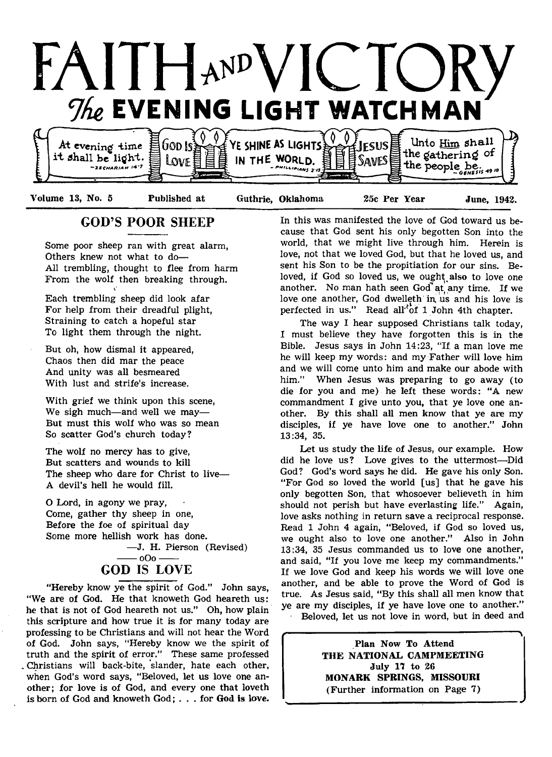

# GOD'S POOR SHEEP

Some poor sheep ran with great alarm, Others knew not what to do— All trembling, thought to flee from harm From the wolf then breaking through.

Each trembling sheep did look afar For help from their dreadful plight, Straining to catch a hopeful star To light them through the night.

But oh, how dismal it appeared, Chaos then did mar the peace And unity was all besmeared With lust and strife's increase.

With grief we think upon this scene, We sigh much— and well we may— But must this wolf who was so mean So scatter God's church today?

The wolf no mercy has to give, But scatters and wounds to kill The sheep who dare for Christ to live— A devil's hell he would fill.

O Lord, in agony we pray, Come, gather thy sheep in one, Before the foe of spiritual day Some more hellish work has done. — J. H. Pierson (Revised)  $-$  oOo $-$ GOD IS LOVE

"Hereby know ye the spirit of God." John says, "We are of God. He that knoweth God heareth us: he that is not of God heareth not us." Oh, how plain this scripture and how true it is for many today are professing to be Christians and will not hear the Word of God. John says, "Hereby know we the spirit of truth and the spirit of error." These same professed Christians will back-bite, slander, hate each other, when God's word says, "Beloved, let us love one another; for love is of God, and every one that loveth is born of God and knoweth God; . . . for God is love. In this was manifested the love of God toward us because that God sent his only begotten Son into the world, that we might live through him. Herein is love, not that we loved God, but that he loved us, and sent his Son to be the propitiation for our sins. Beloved, if God so loved us, we ought also to love one another. No man hath seen God at any time. If we love one another, God dwelleth in, us and his love is perfected in us." Read all<sup>3</sup>of 1 John 4th chapter.

The way I hear supposed Christians talk today, I must believe they have forgotten this is in the Bible. Jesus says in John 14:23, "If. a man love me he will keep my words: and my Father will love him and we will come unto him and make our abode with him." When Jesus was preparing to go away (to die for you and me) he left these words: "A new commandment I give unto you, that ye love one another. By this shall all men know that ye are my disciples, if ye have love one to another." John 13:34, 35.

Let us study the life of Jesus, our example. How did he love us? Love gives to the uttermost— Did God? God's word says he did. He gave his only Son. "For God so loved the world [us] that he gave his only begotten Son, that whosoever believeth in him should not perish but have everlasting life." Again, love asks nothing in return save a reciprocal response. Read 1 John 4 again, " Beloved, if God so loved us, we ought also to love one another." Also in John 13:34, 35 Jesus commanded us to love one another, and said, "If you love me keep my commandments." If we love God and keep his words we will love one another, and be able to prove the Word of God is true. As Jesus said, "By this shall all men know that ye are my disciples, if ye have love one to another." Beloved, let us not love in word, but in deed and

>\*" ......... ■ t Plan Now To Attend THE NATIONAL CAMPMEETING July 17 to 26 MONARK SPRINGS, MISSOURI (Further information on Page 7)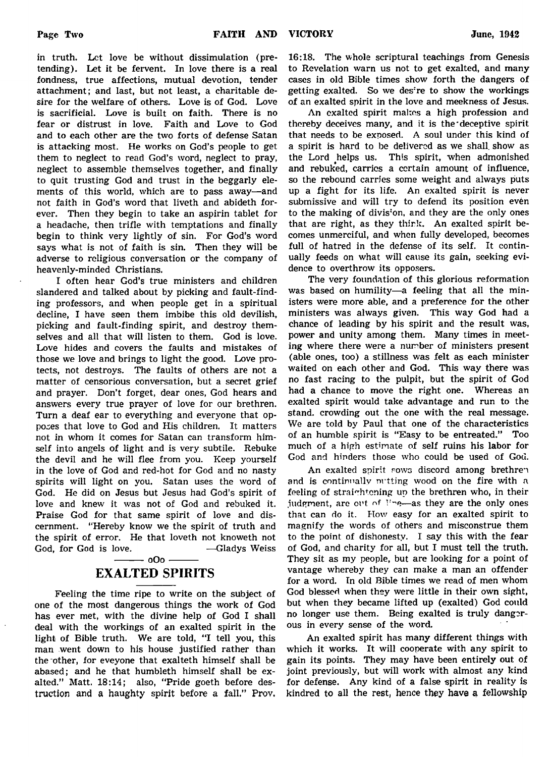in truth. Let love be without dissimulation (pretending). Let it be fervent. In love there is a real fondness, true affections, mutual devotion, tender attachment; and last, but not least, a charitable desire for the welfare of others. Love is of God. Love is sacrificial. Love is built on faith. There is no fear or distrust in love. Faith and Love to God and to each other are the two forts of defense Satan is attacking most. He works on God's people to get them to neglect to read God's word, neglect to pray, neglect to assemble themselves together, and finally to quit trusting God and trust in the beggarly elements of this world, which are to pass away— and not faith in God's word that liveth and abideth forever. Then they begin to take an aspirin tablet for a headache, then trifle with temptations and finally begin to think very lightly of sin. For God's word says what is not of faith is sin. Then they will be adverse to religious conversation or the company of heavenly-minded Christians.

I often hear God's true ministers and children slandered and talked about by picking and fault-finding professors, and when people get in a spiritual decline, I have seen them imbibe this old devilish, picking and fault-finding spirit, and destroy themselves and all that will listen to them. God is love. Love hides and covers the faults and mistakes of those we love and brings to light the good. Love protects, not destroys. The faults of others are not a matter of censorious conversation, but a secret grief and prayer. Don't forget, dear ones, God hears and answers every true prayer of love for our brethren. Turn a deaf ear to everything and everyone that opposes that love to God and His children. It matters not in whom it comes for Satan can transform himself into angels of light and is very subtile. Rebuke the devil and he will flee from you. Keep yourself in the love of God and red-hot for God and no nasty spirits will light on you. Satan uses the word of God. He did on Jesus but Jesus had God's spirit of love and knew it was not of God and rebuked it. Praise God for that same spirit of love and discernment. "Hereby know we the spirit of truth and the spirit of error. He that loveth not knoweth not God, for God is love. ——Gladys Weiss

# $-$  0Oo  $-$ EXALTED SPIRITS

Feeling the time ripe to write on the subject of one of the most dangerous things the work of God has ever met, with the divine help of God I shall deal with the workings of an exalted spirit in the light of Bible truth. We are told, "I tell you, this man went down to his house justified rather than the-other, for eveyone that exalteth himself shall be abased; and he that humbleth himself shall be exalted." Matt. 18:14; also, "Pride goeth before destruction and a haughty spirit before a fall." Prov. 16:18. The whole scriptural teachings from Genesis to Revelation warn us not to get exalted, and many cases in old Bible times show forth the dangers of getting exalted. So we des're to show the workings of an exalted spirit in the love and meekness of Jesus.

An exalted spirit makes a high profession and thereby deceives many, and it is the'deceptive spirit that needs to be exposed. A soul under this kind of a spirit is hard to be delivered as we shall, show as the Lord helps us. This spirit, when admonished and rebuked, carries a certain amount of influence, so the rebound carries some weight and always puts up a fight for its life. An exalted spirit is never submissive and will try to defend its position even to the making of divis'on, and they are the only ones that are right, as they think. An exalted spirit becomes unmerciful, and when fully developed, becomes full of hatred in the defense of its self. It continually feeds on what will cause its gain, seeking evidence to overthrow its opposers.

The very foundation of this glorious reformation was based on humility—a feeling that all the ministers were more able, and a preference for the other ministers was always given. This way God had a chance of leading by his spirit and the result was, power and unity among them. Many times in meeting where there were a number of ministers present (able ones, too) a stillness was felt as each minister waited on each other and God. This way there was no fast racing to the pulpit, but the spirit of God had a chance to move the right one. Whereas an exalted spirit would take advantage and run to the stand, crowding out the one with the real message. We are told by Paul that one of the characteristics of an humble spirit is "Easy to be entreated." Too much of a high estimate of self ruins his labor for God and hinders those who could be used of God.

An exalted spirit rows discord among brethren and is continually nutting wood on the fire with a feeling of straightening up the brethren who, in their judgment, are out of Hne-as they are the only ones that can do it. How easy for an exalted spirit to magnify the words of others and misconstrue them to the point of dishonesty. I say this with the fear of God, and charity for all, but I must tell the truth. They sit as my people, but are looking for a point of vantage whereby they can make a man an offender for a word. In old Bible times we read of men whom God blessed when they were little in their own sight, but when they became lifted up (exalted) God could no longer use them. Being exalted is truly dangerous in every sense of the word.

An exalted spirit has many different things with which it works. It will cooperate with any spirit to gain its points. They may have been entirely out of joint previously, but will work with almost any kind for defense. Any kind of a false spirit in reality is kindred to all the rest, hence they have a fellowship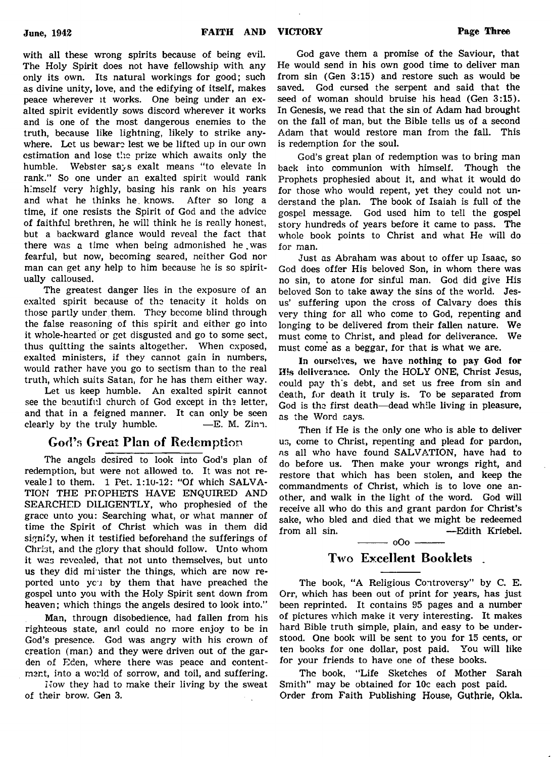with all these wrong spirits because of being evil. The Holy Spirit does not have fellowship with any only its own. Its natural workings for good; such as divine unity, love, and the edifying of itself, makes peace wherever it works. One being under an exalted spirit evidently sows discord wherever it works and is one of the most dangerous enemies to the truth, because like lightning, likely to strike anywhere. Let us beware lest we be lifted up in our own estimation and lose the prize which awaits only the humble. Webster says exalt means "to elevate in rank." So one under an exalted spirit would rank himself very highly, basing his rank on his years and what he thinks he. knows. After so long a time, if one resists the Spirit of God and the advice of faithful brethren, he will think he is really honest, but a backward glance would reveal the fact that there was a time when being admonished he.was fearful, but now, becoming seared, neither God nor man can get any help to him because he is so spiritually calloused.

The greatest danger lies in the exposure of an exalted spirit because of the tenacity it holds on those partly under them. They become blind through the false reasoning of this spirit and either go into it whole-hearted or get disgusted and go to some sect, thus quitting the saints altogether. When exposed, exalted ministers, if they cannot gain in numbers, would rather have you go to sectism than to the real truth, which suits Satan, for he has them either way.

Let us keep humble. An exalted spirit cannot see the beautiful church of God except in the letter, and that in a feigned manner. It can only be seen clearly by the truly humble.  $-E$ . M. Zinn.

# God's Great Plan of Redemption

The angels desired to look into God's plan of redemption, but were not allowed to. It was not revealel to them. 1 Pet. 1:10-12: "Of which SALVA-TION THE PROPHETS HAVE ENQUIRED AND SEARCHED DILIGENTLY, who prophesied of the grace unto you: Searching what, or what manner of time the Spirit of Christ which was in them did signify, when it testified beforehand the sufferings of Christ, and the glory that should follow. Unto whom it was revealed, that not unto themselves, but unto us they did minister the things, which are now reported unto  $y_0$  by them that have preached the gospel unto you with the Holy Spirit sent down from heaven; which things the angels desired to look into."

Man, througn disobedience, had fallen from his righteous state, and could no more enjoy to be in God's presence. God was angry with his crown of creation (man) and they were driven out of the garden of Eden, where there was peace and contentment, into a world of sorrow, and toil, and suffering.

Now they had to make their living by the sweat of their brow. Gen 3.

God gave them a promise of the Saviour, that He would send in his own good time to deliver man from sin (Gen 3:15) and restore such as would be saved. God cursed the serpent and said that the seed of woman should bruise his head (Gen 3:15). In Genesis, we read that the sin of Adam had brought on the fall of man, but the Bible tells us of a second Adam that would restore man from the fall. This is redemption for the soul.

God's great plan of redemption was to bring man back into communion with himself. Though the Prophets prophesied about it, and what it would do for those who would repent, yet they could not understand the plan. The book of Isaiah is full of the gospel message. God used him to tell the gospel story hundreds of years before it came to pass. The whole book points to Christ and what He will do for man.

Just as Abraham was about to offer up Isaac, so God does offer His beloved Son, in whom there was no sin, to atone for sinful man. God did give His beloved Son to take away the sins of the world. Jesus' suffering upon the cross of Calvary does this very thing for all who come to God, repenting and longing to be delivered from their fallen nature. We must come to Christ, and plead for deliverance. We must come as a beggar, for that is what we are.

In ourselves, we have nothing to pay God for His deliverance. Only the HOLY ONE, Christ Jesus, could pay th's debt, and set us free from sin and death, for death it truly is. To be separated from God is the first death— dead while living in pleasure, as the Word cays.

Then if He is the only one who is able to deliver us, come to Christ, repenting and plead for pardon, as all who have found SALVATION, have had to do before us. Then make your wrongs right, and restore that which has been stolen, and keep the commandments of Christ, which is to love one another, and walk in the light of the word. God will receive all who do this and grant pardon for Christ's sake, who bled and died that we might be redeemed from all sin. —Edith Kriebel.  $\frac{1}{1}$  oOo  $\frac{1}{1}$ 

# Two Excellent Booklets .

The book, "A Religious Controversy" by C. E. Orr, which has been out of print for years, has just been reprinted. It contains 95 pages and a number of pictures which make it very interesting. It makes hard Bible truth simple, plain, and easy to be understood. One book will be sent to you for 15 cents, or ten books for one dollar, post paid. You will like for your friends to have one of these books.

The book, "Life Sketches of Mother Sarah Smith" may be obtained for 10c each post paid. Order from Faith Publishing House, Guthrie, Okla.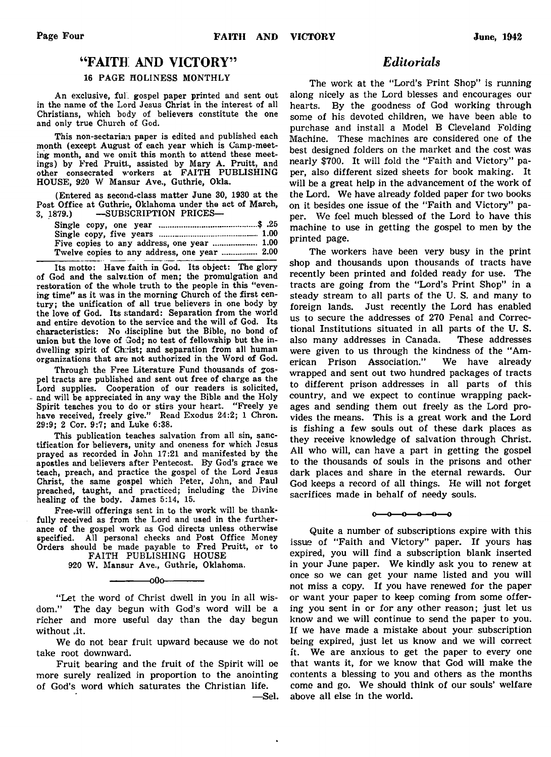# " FAITH AND VICTORY"

### 16 PAGE HOLINESS MONTHLY

An exclusive, ful. gospel paper printed and sent out in the name of the Lord Jesus Christ in the interest of all Christians, which body of believers constitute the one and only true Church of God.

This non-sectarian paper is edited and published each month (except August of each year which is Camp-meeting month, and we omit this month to attend these meetings) by Fred Pruitt, assisted by Mary A. Pruitt, and other consecrated workers at FAITH PUBLISHING HOUSE, 920 W Mansur Ave., Guthrie, Okla.

(Entered as second-class matter June 30, 1930 at the Post Office at Guthrie, Oklahoma under the act of March, 3, 1879.) — SUBSCRIPTION PRICES—

| Five copies to any address, one year  1.00   |  |
|----------------------------------------------|--|
| Twelve copies to any address, one year  2.00 |  |

Its motto: Have faith in God. Its object: The glory of God and the salvation of men; the promulgation and restoration of the whole truth to the people in this "evening time" as it was in the morning Church of the first century; the unification of all true believers in one body by the love of God. Its standard: Separation from the world and entire devotion to the service and the will of God. Its characteristics: No discipline but the Bible, no bond of union but the love of God; no test of fellowship but the indwelling spirit of Christ; and separation from all human organizations that are not authorized in the Word of God.

Through the Free Literature Fund thousands of gospel tracts are published and sent out free of charge as the Lord supplies. Cooperation of our readers is solicited, and will be appreciated in any way the Bible and the Holy Spirit teaches you to do or stirs your heart. "Freely ye have received, freely give." Read Exodus 24:2; 1 Chron. 29:9; 2 Cor. 9:7; and Luke 6:38.

This publication teaches salvation from all sin, sanctification for believers, unity and oneness for which Jesus prayed as recorded in John 17:21 and manifested by the apostles and believers after Pentecost. By God's grace we teach, preach, and practice the gospel of the Lord Jesus Christ, the same gospel which Peter, John, and Paul preached, taught, and practiced; including the Divine healing of the body. James 5:14, 15.

Free-will offerings sent in to the work will be thankfully received as from the Lord and used in the furtherance of the gospel work as God directs unless otherwise specified. All personal checks and Post Office Money Orders should be made payable to Fred Pruitt, or to FAITH PUBLISHING HOUSE

920 W. Mansur Ave., Guthrie, Oklahoma. –00-

"Let the word of Christ dwell in you in all wisdom." The day begun with God's word will be a richer and more useful day than the day begun without .it.

We do not bear fruit upward because we do not take root downward.

Fruit bearing and the fruit of the Spirit will oe more surely realized in proportion to the anointing of God's word which saturates the Christian life.

—Sel.

# *Editorials*

The work at the "Lord's Print Shop" is running along nicely as the Lord blesses and encourages our hearts. By the goodness of God working through some of his devoted children, we have been able to purchase and install a Model B Cleveland Folding Machine. These machines are considered one of the best designed folders on the market and the cost was nearly \$700. It will fold the "Faith and Victory" paper, also different sized sheets for book making. It will be a great help in the advancement of the work of the Lord. We have already folded paper for two books on it besides one issue of the "Faith and Victory" paper. We feel much blessed of the Lord to have this machine to use in getting the gospel to men by the printed page.

The workers have been very busy in the print shop and thousands upon thousands of tracts have recently been printed and folded ready for use. The tracts are going from the "Lord's Print Shop" in a steady stream to all parts of the U. S. and many to foreign lands. Just recently the Lord has enabled us to secure the addresses of 270 Penal and Correctional Institutions situated in all parts of the U. S. also many addresses in Canada. These addresses were given to us through the kindness of the "American Prison Association." We have already wrapped and sent out two hundred packages of tracts to different prison addresses in all parts of this country, and we expect to continue wrapping packages and sending them out freely as the Lord provides the means. This is a great work and the Lord is fishing a few souls out of these dark places as they receive knowledge of salvation through Christ. All who will, can have a part in getting the gospel to the thousands of souls in the prisons and other dark places and share in the eternal rewards. Our God keeps a record of all things. He will not forget sacrifices made in behalf of needy souls.

#### $\sim$ -പ -0-0-0-

Quite a number of subscriptions expire with this issue of "Faith and Victory" paper. If yours has expired, you will find a subscription blank inserted in your June paper. We kindly ask you to renew at once so we can get your name listed and you will not miss a copy. If you have renewed for the paper or want your paper to keep coming from some offering you sent in or for any other reason; just let us know and we will continue to send the paper to you. If we have made a mistake about your subscription being expired, just let us know and we will correct it. We are anxious to get the paper to every one that wants it, for we know that God will make the contents a blessing to you and others as the months come and go. We should think of our souls' welfare above all else in the world.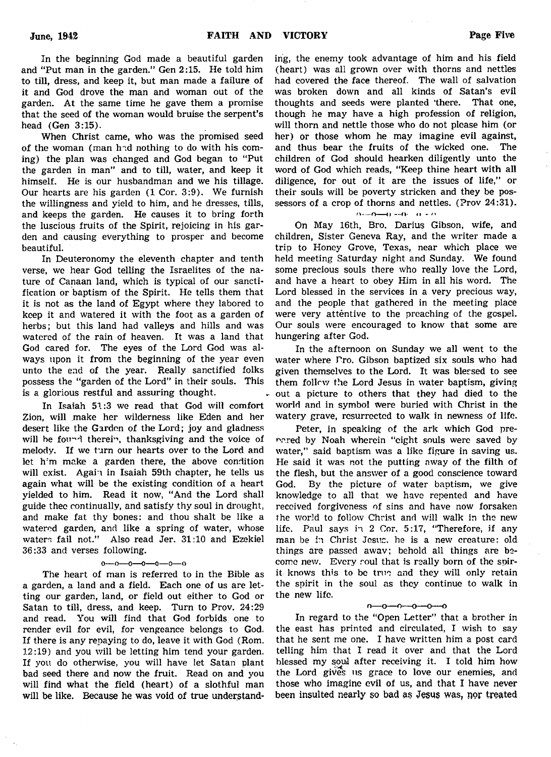In the beginning God made a beautiful garden and "Put man in the garden." Gen 2:15. He told him to till, dress, and keep it, but man made a failure of it and God drove the man and woman out of the garden. At the same time he gave them a promise that the seed of the woman would bruise the serpent's head (Gen 3:15).

When Christ came, who was the promised seed of the woman (man had nothing to do with his coming) the plan was changed and God began to "Put the garden in man" and to till, water, and keep it himself. He is our husbandman and we his tillage. Our hearts are his garden (1 Cor. 3:9). We furnish the willingness and yield to him, and he dresses, tills, and keeps the garden. He causes it to bring forth the luscious fruits of the Spirit, rejoicing in his garden and causing everything to prosper and become beautiful.

In Deuteronomy the eleventh chapter and tenth verse, we hear God telling the Israelites of the nature of Canaan land, which is typical of our sanctification or baptism of the Spirit. He tells them that it is not as the land of Egypt where they labored to keep it and watered it with the foot as a garden of herbs; but this land had valleys and hills and was watered of the rain of heaven. It was a land that God cared for. The eyes of the Lord God was always upon it from the beginning of the year even unto the end of the year. Really sanctified folks possess the "garden of the Lord" in their souls. This is a glorious restful and assuring thought.

In Isaiah 51:3 we read that God will comfort Zion, will make her wilderness like Eden and her desert like the Garden of the Lord; joy and gladness will be found therein, thanksgiving and the voice of melody. If we turn our hearts over to the Lord and let him make a garden there, the above condition will exist. Again in Isaiah 59th chapter, he tells us again what will be the existing condition of a heart yielded to him. Read it now, " And the Lord shall guide thee continually, and satisfy thy soul in drought, and make fat thy bones: and thou shalt be like a watered garden, and like a spring of water, whose waters fail not." Also read Jer. 31:10 and Ezekiel 36:33 and verses following.

 $0-0-0-0-0-0-0$ 

The heart of man is referred to in the Bible as a garden, a land and a field. Each one of us are letting our garden, land, or field out either to God or Satan to till, dress, and keep. Turn to Prov. 24:29 and read. You will find that God forbids one to render evil for evil, for vengeance belongs to God. If there is any repaying to do, leave it with God (Rom. 12:19) and you will be letting him tend your garden. If you do otherwise, you will have let Satan plant bad seed there and now the fruit. Read on and you will find what the field (heart) of a slothful man will be like. Because he was void of true understand-

ing, the enemy took advantage of him and his field (heart) was all grown over with thorns and nettles had covered the face thereof. The wall of salvation was broken down and all kinds of Satan's evil thoughts and seeds were planted 'there. That one, though he may have a high profession of religion, will thorn and nettle those who do not please him (or her) or those whom he may imagine evil against, and thus bear the fruits of the wicked one. The children of God should hearken diligently unto the word of God which reads, "Keep thine heart with all diligence, for out of it are the issues of life," or their souls will be poverty stricken and they be possessors of a crop of thorns and nettles. (Prov 24:31).

### $O = O(m-1) = O(-1) = O$

On May 16th, Bro. Darius Gibson, wife, and children, Sister Geneva Ray, and the writer made a trip to Honey Grove, Texas, near which place we held meeting Saturday night and Sunday. We found some precious souls there who really love the Lord, and have a heart to obey Him in all his word. The Lord blessed in the services in a very precious way, and the people that gathered in the meeting place were very attentive to the preaching of the gospel. Our souls were encouraged to know that some are hungering after God.

In the afternoon on Sunday we all went to the water where Pro. Gibson baptized six souls who had given themselves to the Lord. It was blessed to see them follow the Lord Jesus in water baptism, giving out a picture to others that they had died to the world and in symbol were buried with Christ in the watery grave, resurrected to walk in newness of life.

Peter, in speaking of the ark which God prepared by Noah wherein "eight souls were saved by water," said baptism was a like figure in saving us. He said it was not the putting away of the filth of the flesh, but the answer of a good conscience toward God. By the picture of water baptism, we give knowledge to all that we have repented and have received forgiveness of sins and have now forsaken the world to follow Christ and will walk in the new life. Paul says in 2 Cor. 5:17, "Therefore, if any man be in Christ Jesus, he is a new creature: old things are passed awav; behold all things are become new. Every soul that is really born of the spirit knows this to be true and they will only retain the spirit in the soul as they continue to walk in the new life.

### $n - 0 - 0 - 0 - 0$

In regard to the "Open Letter" that a brother in the east has printed and circulated, I wish to say that he sent me one. I have written him a post card telling him that I read it over and that the Lord blessed my soul after receiving it. I told him how the Lord gives us grace to love our enemies, and those who imagine evil of us, and that I have never been insulted nearly so bad as Jesus was, nor treated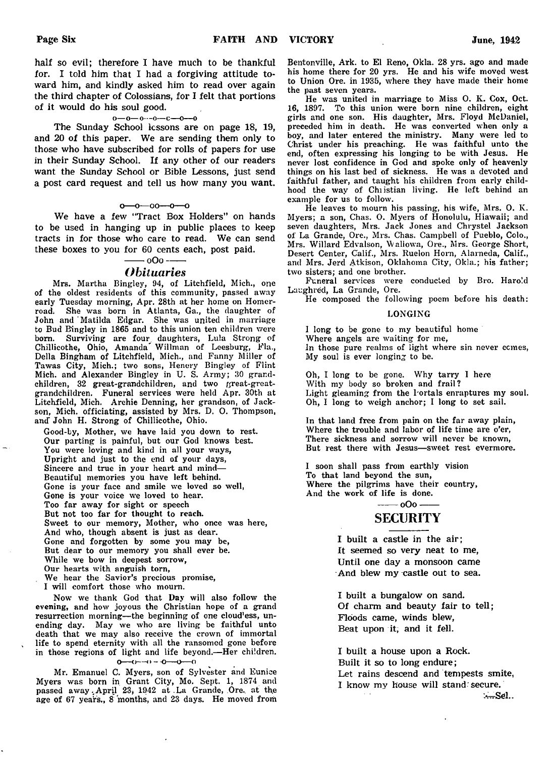half so evil; therefore I have much to be thankful for. I told him that I had a forgiving attitude toward him, and kindly asked him to read over again the third chapter of Colossians, for I felt that portions of it would do his soul good.

### $0 - 0 - 0 - 0 - 0 - 0$

The Sunday School lessons are on page 18, 19, and 20 of this paper. We are sending them only to those who have subscribed for rolls of papers for use in their Sunday School. If any other of our readers want the Sunday School or Bible Lessons, just send a post card request and tell us how many you want.

#### $0 - 0 - 00 - 0 - 0$

We have a few "Tract Box Holders" on hands to be used in hanging up in public places to keep tracts in for those who care to read. We can send these boxes to you for 60 cents each, post paid.

### $-$  oOo --*Obituaries*

Mrs. Martha Bingley, 94, of Litchfield, Mich., one of the oldest residents of this community, passed away early Tuesday morning, Apr. 28th at her home on Homerroad. She was born in Atlanta, Ga., the daughter of John and 'Matilda Edgar. She was united in marriage to Bud Bingley in 1865 and to this union ten children were born. Surviving are four. daughters, Lula Strong of Chillicothe, Ohio, Amanda' Willman of Leesburg, Fla., Della Bingham of Litchfield, Mich., and Fanny Miller of Tawas City, Mich.; two sons, Henery Bingley of Flint Mich, and Alexander Bingley in U. S. Army; 30 grandchildren, 32 great-grandchildren, and two great-greatgrandchildren. Funeral services were held Apr. 30th at Litchfield, Mich. Archie Denning, her grandson, of Jackson, Mich, officiating, assisted by Mrs. D. 0. Thompson, and John H. Strong of Chillicothe, Ohio.

Good-by, Mother, we have laid you down to rest. Our parting is painful, but our God knows best. You were loving and kind in all your ways, Upright and just to the end of your days, Sincere and true in your heart and mind— Beautiful memories you have left behind. Gone is your face and smile we loved so well, Gone is your voice we loved to hear. Too far away for sight or speech But not too far for thought to reach. Sweet to our memory, Mother, who once was here, And who, though absent is just as dear. Gone and forgotten by some you may be, But dear to our memory you shall ever be. While we bow in deepest sorrow, Our hearts with anguish torn, We hear the Savior's precious promise,

I will comfort those who mourn.

Now we thank God that Day will also follow the evening, and how joyous the Christian hope of a grand resurrection morning— the beginning of one cloud'ess, unending day. May we who are living be faithful unto death that we may also receive the crown of immortal life to spend eternity with all the ransomed gone before in those regions of light and life beyond.— Her children.  $0^{(n-1)(n-1)} = 0^{(n-1)(n-1)}$ 

Mr. Emanuel C. Myers, son of Sylvester and Eunice Myers was born in Grant City, Mo. Sept. 1, 1874 and passed away April 23, 1942 at La Grande, Ore. at the age of 67 years., 8 'months, and 23 days. He moved from Bentonville, Ark. to El Reno, Okla. 28 yrs. ago and made his home there for 20 yrs. He and his wife moved west to Union Ore. in 1935, where they have made their home the past seven years.

He was united in marriage to Miss O. K. Cox, Oct. 16, 1897. To this union were born nine children, eight girls and one son. His daughter, Mrs. Floyd McDaniel, preceded him in death. He was converted when only a boy, and later entered the ministry. Many were led to Christ under his preaching. He was faithful unto the end, often expressing his longing to be with Jesus. He never lost confidence in God and spoke only of heavenly things on his last bed of sickness. He was a devoted and faithful father, and taught his children from early childhood the way of Chiistian living. He left behind an example for us to follow.

He leaves to mourn his passing, his wife, Mrs. 0. K. Myers; a son, Chas. O. Myers of Honolulu, Hiawaii; and seven daughters, Mrs. Jack Jones and Chrystel Jackson of La Grande, Ore., Mrs. Chas. Campbell of Pueblo, Colo., Mrs. Willard Edvalson, Wallowa, Ore., Mrs. George Short, Desert Center, Calif., Mrs. Ruelon Horn, Alarneda, Calif., and Mrs. Jerd Atkison, Oklahoma City, Okla.; his father; two sisters; and one brother.

Funeral services were conducted by Bro. Harold Laughred, La Grande, Ore.

He composed the following poem before his death:

### LONGING

I long to be gone to my beautiful home Where angels are waiting for me, In those pure realms of light where sin never ccmes, My soul is ever longing to be.

Oh, I long to be gone. Why tarry I here With my body so broken and frail? Light gleaming from the Portals enraptures my soul. Oh, I long to weigh anchor; I long to set sail.

In that land free from pain on the far away plain, Where the trouble and labor of life time are o'er, There sickness and sorrow will never be Known, But rest there with Jesus— sweet rest evermore.

I soon shall pass from earthly vision To that land beyond the sun, Where the pilgrims have their country, And the work of life is done. - 0Oo -

# SECURITY

I built a castle in the air; It seemed so very neat to me, Until one day a monsoon came And blew my castle out to sea.

I built a bungalow on sand. Of charm and beauty fair to tell; Floods came, winds blew, Beat upon it, and it fell.

I built a house upon a Rock. Built it so to long endure; Let rains descend and tempests smite, I know my house will stand: secure. ...Sel..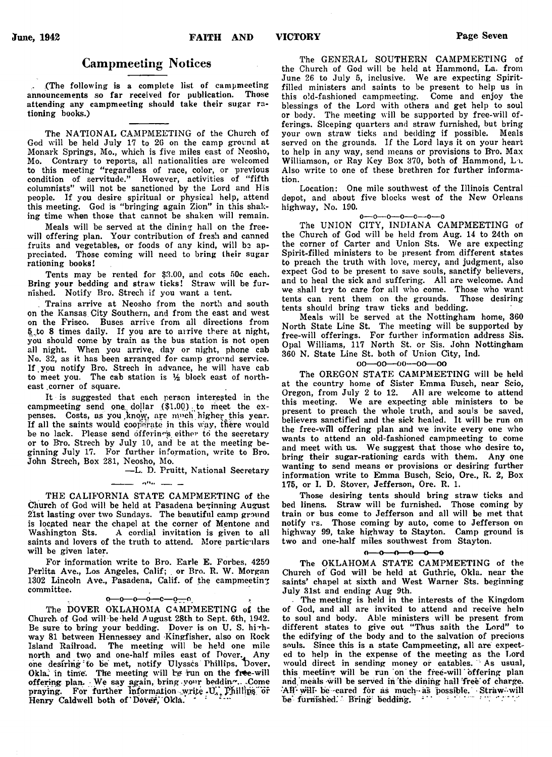# Campmeeting Notices

(The following is a complete list of campmeeting announcements so far received for publication. Those attending any campmeeting should take their sugar rationing books.)

The NATIONAL CAMPMEETING of the Church of God will be held July 17 to 20 on the camp ground at Monark Springs, Mo., which is five miles east of Neosho, Mo. Contrary to reports, all nationalities are welcomed to this meeting "regardless of race, color, or previous condition of servitude." However, activities of "fifth columnists" will not be sanctioned by the Lord and His people. If you desire spiritual or physical help, attend this meeting. God is "bringing again Zion" in this shaking time when those that cannot be shaken will remain.

Meals will be served at the dining hall on the freewill offering plan. Your contribution of fresh and canned fruits and vegetables, or foods of any kind, will be appreciated. Those coming will need to bring their sugar rationing books!

Tents may be rented for  $$3.00$ , and cots 50c each. Bring your bedding and straw ticks! Straw will be furnished. Notify Bro. Strech if you want a tent.

. Trains arrive at Neosho from the north and south on the Kansas City Southern, and from the east and west on the Frisco. Buses arrive from all directions from 5.to 8 times daily. If you are to arrive there at night, you should come by train as the bus station is not open all night. When you arrive, day or night, phone cab No. 32, as it has been arranged for camp ground service. If , you notify Bro. Strech in advance, he will have cab to meet you. The cab station is  $\frac{1}{2}$  block east of northeast .corner of square.

It is suggested that each person interested in the campmeeting send one dollar (\$1.00) to meet the expenses. Costs, as you know, are much higher this year. If all the saints would cooperate in this way, there would be no lack. Please send offerings either to the secretary or to Bro. Strech by July 10, and be at the meeting beginning July 17. For further information, write to Bro. John Strech, Box 281, Neosho, Mo.

— L. D. Pruitt, National Secretary

### $\mathbf{r} = \mathbf{r} \mathbf{r} \mathbf{r} \mathbf{r} \mathbf{r}$

THE CALIFORNIA STATE CAMPMEETING of the Church of God will be held at Pasadena beginning August 21st lasting over two Sundays. The beautiful camp ground is located near the chapel at the corner of Mentone and Washington Sts. A cordial invitation is given to all saints and lovers of the truth to attend. More particulars will be given later.

For information write to Bro. Earle E. Forbes, 4259 Perlita Ave., Los Angeles, Calif; or Bro. R. W. Morgan 1302 Lincoln Ave., Pasadena, Calif, of the campmeeting committee.

### $0 - 0 - 0 - 0 - 0 - 0 - 0$

The DOVER OKLAHOMA CAMPMEETING of the Church pf God will be-held August 28th to Sept. 6th, 1942. Be sure to bring your bedding. Dover is on U. S. hirhway 81 between Hennessey and -Kingfisher, also on Rock Island Railroad. The meeting will be held one mile north and two and one-half miles east of Dover. Any one desiring: to be met, notify Ulysses Phillips, Dover, Okla. in time. The meeting will be run on the free-will offering plan. We say again, bring your bedding. Come praying. For further information write  $U_{\alpha}$ , Phillips or Henry Caldwell both of Dover, Okla. \*

The GENERAL SOUTHERN CAMPMEETING of the Church of God will be held at Hammond, La. from June 26 to July 5, inclusive. We are expecting Spiritfilled ministers and saints to be present to help us in this old-fashioned campmeeting. Come and enjoy the blessings of the Lord with others and get help to soul or body. The meeting will be supported by free-will offerings. Sleeping quarters and straw furnished, but bring your own straw ticks and bedding if possible. Meals served on the grounds. If the Lord lays it on your heart to help in any way, send means or provisions to Bro. Max Williamson, or Ray Key Box 370, both of Hammond, L i. Also write to one of these brethren for further information.

Location: One mile southwest of the Illinois Central depot, and about five blocks west of the New Orleans highway, No. 190.

 $0 - 0 - 0 - 0 - 0 - 0 - 0$ 

The UNION CITY, INDIANA CAMPMEETING of the Church of God will be held from Aug. 14 to 24th on the corner of Carter and Union Sts. We are expecting Spirit-filled ministers to be present from different states to preach the truth with love, mercy, and judgment, also expect God to be present to save souls, sanctify believers, and to heal the sick and suffering. All are welcome. And we shall try to care for all who come. Those who want tents can rent them on the grounds. Those desiring tents can rent them on the grounds. tents should bring traw ticks and bedding.

Meals will be served at the Nottingham home, 360 North State Line St. The meeting will be supported by free-will offerings. For further information address Sis. Opal Williams, 117 North St. or Sis. John Nottingham 360 N. State Line St. both of Union City, Ind.

#### oo—oo—oo—oo—oo

The OREGON STATE CAMPMEETING will be held at the country home of Sister Emma Busch, near Scio, Oregon, from July 2 to 12. All are welcome to attend this meeting. We are expecting able ministers to be present to preach the whole truth, and souls be saved, believers sanctified and the sick healed. It will be run on the free-will offering plan and we invite every one who wants to attend an old-fashioned campmeeting to come and meet with us. We suggest that those who desire to, bring their sugar-rationing cards with them. Any one wanting to send means or provisions or desiring further information write to Emma Busch, Scio, Ore., R. 2, Box 175, or I. D. Stover, Jefferson, Ore. R. 1.

Those desiring tents should bring straw ticks and bed linens. Straw will be furnished. Those coming by train or bus come to Jefferson and all will be met that notify vs. Those coming by auto, come to Jefferson on highway 99, take highway to Stayton. Camp ground is two and one-half miles southwest from Stayton.

#### $0 - 0 - 0 - 0 - 0$

The OKLAHOMA STATE CAMPMEETING of the Church of God will be held at Guthrie, Okla. near the saints' chapel at sixth and West Warner Sts. beginning July 31st and ending Aug 9th.

The meeting is held in the interests of the Kingdom of God, and all are invited to attend and receive heln to soul and body. Able ministers will be present from different states to give out "Thus saith the Lord" to the edifying of the body and to the salvation of precious souls. Since this is a state Campmeeting, all are expected to help in the expense of the meeting as the Lord would direct in sending money or eatables. As usual, this meeting will be run on the free-will 'offering plan and meals will be served in the dining hall free of charge. •\*AB'\* will\* be-cared for as much-as possible. • Straw-will be furnished. Bring bedding.  $\cdot$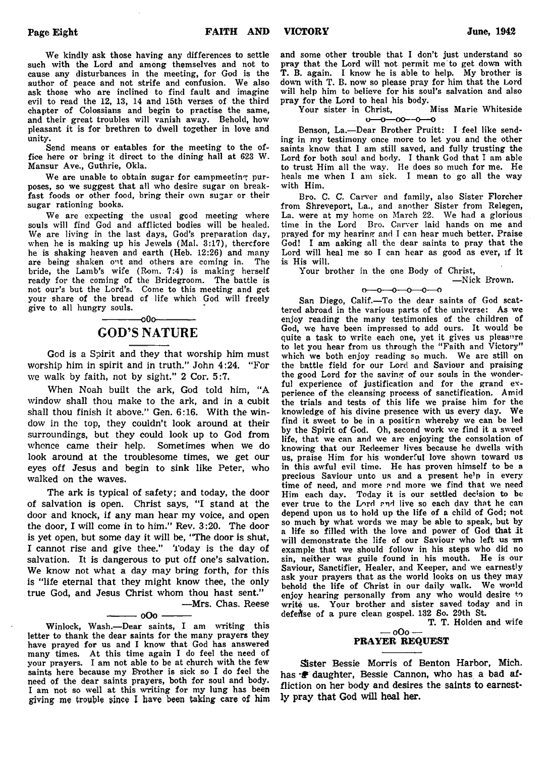We kindly ask those having any differences to settle such with the Lord and among themselves and not to cause any disturbances in the meeting, for God is the author of peace and not strife and confusion. We also ask those who are inclined to find fault and imagine evil to read the 12, 13, 14 and 15th verses of the third chapter of Colossians and begin to practise the same, and their great troubles will vanish away. Behold, how pleasant it is for brethren to dwell together in love and unity.

Send means or eatables for the meeting to the office here or bring it direct to the dining hall at 623 W. Mansur Ave., Guthrie, Okla.

We are unable to obtain sugar for campmeeting purposes, so we suggest that all who desire sugar on breakfast foods or other food, bring their own sugar or their sugar rationing books.

We are expecting the usual good meeting where souls will find God and afflicted bodies will be healed. We are living in the last days, God's preparation day, when he is making up his Jewels (Mai. 3:17), therefore he is shaking heaven and earth (Heb. 12:26) and many are being shaken out and others are coming in. The bride, the Lamb's wife (Rom. 7:4) is making herself ready for the coming of the Bridegroom. The battle is not our's but the Lord's. Come to this meeting and get your share of the bread of life which God will freely give to all hungry souls.

# $-00$ o $-$ GOD'S NATURE

God is a Spirit and they that worship him must worship him in spirit and in truth." John 4:24. "For we walk by faith, not by sight." 2 Cor. 5:7.

When Noah built the ark, God told him, "A window shall thou make to the ark, and in a cubit shall thou finish it above." Gen. 6:16. With the window in the top, they couldn't look around at their surroundings, but they could look up to God from whence came their help. Sometimes when we do look around at the troublesome times, we get our eyes off Jesus and begin to sink like Peter, who walked on the waves.

The ark is typical of safety; and today, the door of salvation is open. Christ says, "I stand at the door and knock, if any man hear my voice, and open the door, I will come in to him." Rev. 3:20. The door is yet open, but some day it will be, "The door is shut, I cannot rise and give thee." 'Today is the day of salvation. It is dangerous to put off one's salvation. We know not what a day may bring forth, for this is "life eternal that they might know thee, the only true God, and Jesus Christ whom thou hast sent."

#### $-$  oOo  $\cdot$

—Mrs. Chas. Reese

Winlock, Wash.— Dear saints, I am writing this letter to thank the dear saints for the many prayers they have prayed for us and I know that God has answered many times. At this time again I do feel the need of your prayers. I am not able to be at church with the few saints here because my Brother is sick so I do feel the need of the dear saints prayers, both for soul and body. I am not so well at this writing for my lung has been giving me trouble since I have been taking care of him

and some other trouble that I don't just understand so pray that the Lord will not permit me to get down with T. B. again. I know he is able to help. My brother is down with T. B. now so please pray for him that the Lord will help him to believe for his soul's salvation and also

pray for the Lord to heal his body.<br>Your sister in Christ, Miss Marie Whiteside Your sister in Christ,  $0 - 0 - 00 - 0$ 

Benson, La.— Dear Brother Pruitt: I feel like sending in my testimony once more to let you and the other saints know that I am still saved, and fully trusting the Lord for both soul and body. I thank God that I am able to trust Him all the way. He does so much for me. He heals me when I am sick. I mean to go all the way with Him.

Bro. C. C. Carver and family, also Sister Florcher from Shreveport, La., and another Sister from Relegen, La. were at my home on March 22. We had a glorious time in the Lord Bro. Carver laid hands on me and prayed for my hearing and I can hear much better. Praise God! I am asking all the dear saints to pray that the Lord will heal me so I can hear as good as ever, if it is His will.

Your brother in the one Body of Christ,

— Nick Frown.

 $0 - 0 - 0 - 0 - 0$ 

San Diego, Calif.— To the dear saints of God scattered abroad in the various parts of the universe: As we enjoy reading the many testimonies of the children of God, we have been impressed to add ours. It would be quite a task to write each one, yet it gives us pleasure to let you hear from us through the "Faith and Victory" which we both enjoy reading so much. We are still on the battle field for our Lord and Saviour and praising the good Lord for the saving of our souls in the wonderful experience of justification and for the grand experience of the cleansing process of sanctification. Amid the trials and tests of this life we praise him for the knowledge of his divine presence with us every day. We find it sweet to be in a position whereby we can be led by the Spirit of God. Oh, second work we find it a sweet life, that we can and we are enjoying the consolation of knowing that our Redeemer lives because he dwells with us, praise Him for his wonderful love shown toward us in this awful evil time. He has proven himself to be a precious Saviour unto us and a present he'p in every time of need, and more ?nd more we find that we need Him each day. Today it is our settled decision to be ever true to the Lord ?nd live so each day that he can depend upon us to hold up the life of a child of God; not so much by what words we may be able to speak, but by a life so filled with the love and power of God that it will demonstrate the life of our Saviour who left us an example that we should follow in his steps who did no sin, neither was guile found in his mouth. He is our Saviour, Sanctifier, Healer, and Keeper, and we earnestly ask your prayers that as the world looks on us they may behold the life of Christ in our daily walk. We would enjoy hearing personally from any who would desire to write us. Your brother and sister saved today and in defense of a pure clean gospel. 132 So. 29th St.

T. T. Holden and wife

# — oOo — PRAYER REQUEST

Sister Bessie Morris of Benton Harbor, Mich. has  $\mathcal{F}$  daughter, Bessie Cannon, who has a bad affliction on her body and desires the saints to earnestly pray that God will heal her.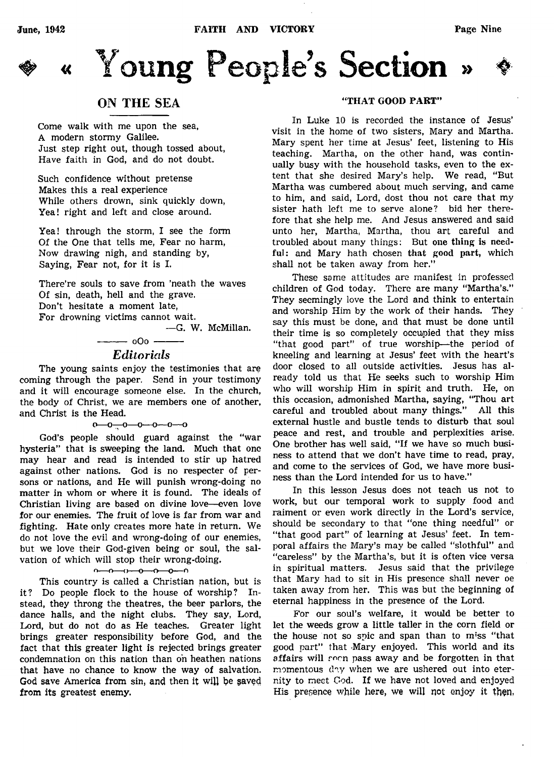

# « Young People's Section

# ON THE SEA

Come walk with me upon the sea, A modern stormy Galilee. Just step right out, though tossed about, Have faith in God, and do not doubt.

Such confidence without pretense Makes this a real experience While others drown, sink quickly down, Yea! right and left and close around.

Yea! through the storm, I see the form Of the One that tells me, Fear no harm, Now drawing nigh, and standing by, Saying, Fear not, for it is I.

There're souls to save from 'neath the waves Of sin, death, hell and the grave. Don't hesitate a moment late, For drowning victims cannot wait.

— G. W. McMillan.

# $-$  0O0  $-$ *Editorials*

The young saints enjoy the testimonies that are coming through the paper. Send in your testimony and it will encourage someone else. In the church, the body of Christ, we are members one of another, and Christ is the Head.

 $0 - 0 - 0 - 0 - 0 - 0$ 

God's people should guard against the "war hysteria'' that is sweeping the land. Much that one may hear and read is intended to stir up hatred against other nations. God is no respecter of persons or nations, and He will punish wrong-doing no matter in whom or where it is found. The ideals of Christian living are based on divine love— even love for our enemies. The fruit of love is far from war and fighting. Hate only creates more hate in return. We do not love the evil and wrong-doing of our enemies, but we love their God-given being or soul, the salvation of which will stop their wrong-doing.

### $0 - 0 - 0 - 0 - 0 - 0$

This country is called a Christian nation, but is it? Do people flock to the house of worship? Instead, they throng the theatres, the beer parlors, the dance halls, and the night clubs. They say, Lord, Lord, but do not do as He teaches. Greater light brings greater responsibility before God, and the fact that this greater light is rejected brings greater condemnation on this nation than on heathen nations that have no chance to know the way of salvation. God save America from sin, and then it will be saved from its greatest enemy.

### "THAT GOOD PART"

In Luke 10 is recorded the instance of Jesus' visit in the home of two sisters, Mary and Martha. Mary spent her time at Jesus' feet, listening to His teaching. Martha, on the other hand, was continually busy with the household tasks, even to the extent that she desired Mary's help. We read, "But Martha was cumbered about much serving, and came to him, and said, Lord, dost thou not care that my sister hath left me to serve alone? bid her therefore that she help me. And Jesus answered and said unto her, Martha, Martha, thou art careful and troubled about many things: But one thing is needful: and Mary hath chosen that good part, which shall not be taken away from her."

These some attitudes are manifest in professed children of God today. There are many "Martha's." They seemingly love the Lord and think to entertain and worship Him by the work of their hands. They say this must be done, and that must be done until their time is so completely occupied that they miss "that good part" of true worship— the period of kneeling and learning at Jesus' feet with the heart's door closed to all outside activities. Jesus has already told us that He seeks such to worship Him who will worship Him in spirit and truth. He, on this occasion, admonished Martha, saying, "Thou art careful and troubled about many things." All this external hustle and bustle tends to disturb that soul peace and rest, and trouble and perplexities arise. One brother has well said, "If we have so much business to attend that we don't have time to read, pray, and come to the services of God, we have more business than the Lord intended for us to have."

In this lesson Jesus does not teach us not to work, but our temporal work to supply food and raiment or even work directly in the Lord's service, should be secondary to that "one thing needful" or "that good part" of learning at Jesus' feet. In temporal affairs the Mary's may be called "slothful" and "careless" by the Martha's, but it is often vice versa in spiritual matters. Jesus said that the privilege that Mary had to sit in His presence shall never oe taken away from her. This was but the beginning of eternal happiness in the presence of the Lord.

For our soul's welfare, it would be better to let the weeds grow a little taller in the corn field or the house not so spic and span than to miss "that good part" that Mary enjoyed. This world and its affairs will soon pass away and be forgotten in that momentous day when we are ushered out into eternity to meet God. If we have not loved and enjoyed His presence while here, we will not enjoy it then.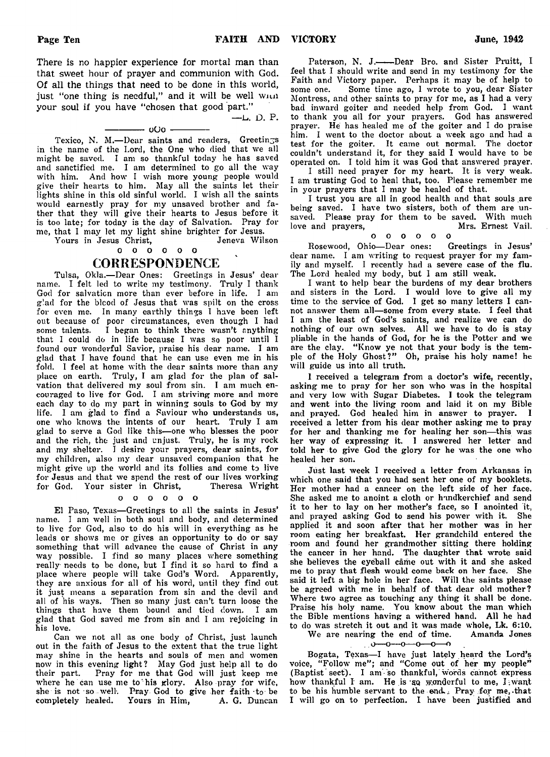There is no happier experience for mortal man than that sweet hour of prayer and communion with God. Of all the things that need to be done in this world, just "one thing is needful," and it will be well with your soul if you have "chosen that good part."<br> $-L$ , D. P.

#### $-$  000  $-$

Texico, N. M.-Dear saints and readers, Greetings in the name of the Lord, the One who died that we all might be saved. I am so thankful today he has saved and sanctified me. I am determined to go all the way with him. And how I wish more young people would give their hearts to him. May all the saints let their lights shine in this old sinful world. I wish all the saints would earnestly pray for my unsaved brother and father that they will give their hearts to Jesus before it is too late; for today is the day of Salvation. Pray for me, that I may let my light shine brighter for Jesus.

Yours in Jesus Christ, 0 0 0 0 0 0

# **CORRESPONDENCE**

Tulsa, Okla.— Dear Ones: Greetings in Jesus' dear name. I felt led to write my testimony. Truly I thank God for salvation more than ever before in life. I am glad for the blood of Jesus that was spilt on the cross for even me. In many earthly things I have been left out because of poor circumstances, even though I had<br>some talents. I began to think there wasn't anything I began to think there wasn't anything that I could do in life because I was so poor until I found our Wonderful Savior, praise his dear name. I am glad that I have found that he can use even me in his fold. I feel at home with the dear saints more than any place on earth. Truly, I am glad for the plan of salvation that delivered my soul from sin. I am much encouraged to live for God. I am striving more and more each day to do my part in winning souls to God by my life. I am glad to find a Saviour who understands us, one who knows the intents of our heart. Truly I am glad to serve a God like this— one who blesses the poor and the rich, the just and unjust. Truly, he is my rock and my shelter. I desire your prayers, dear saints, for my children, also my dear unsaved companion that he might give up the world and its follies and come to live for Jesus and that we spend the rest of our lives working for God. Your sister in Christ, Theresa Wright

#### o o o o o o

El Paso, Texas— Greetings to all the saints in Jesus' name. I am well in both soul and body, and determined to live for God, also to do his will in everything as he leads or shows me or gives an opportunity to do or say something that will advance the cause of Christ in any way possible. I find so many places where something really needs to be done, but I find it so hard to find a place where people will take God's Word. Apparently, they are anxious for all of his word, until they find out it just means a separation from sin and the devil and all of his ways. Then so many just can't turn loose the things that have them bound and tied down. I am glad that God saved me from sin and I am rejoicing in his love.

Can we not all as one body of Christ, just launch out in the faith of Jesus to the extent that the true light may shine in the hearts and souls of men and women now in this evening light? May God just help all to do their part. Pray for me that God will just keep me where he can use me to his glory. Also pray for wife, she is not so well-. Pray God to give her faith to be completely healed. Yours in Him, A. G. Duncan

Paterson, N. J.----Dear Bro. and Sister Pruitt, I feel that I should write and send in my testimony for the Faith and Victory paper. Perhaps it may be of help to some one. Some time ago, I wrote to you, dear Sister Some time ago, I wrote to you, dear Sister Montress, and other saints to pray for me, as I had a very bad inward goiter and needed help from God. I want to thank you all for your prayers. God has answered prayer. He has healed me of the goiter and I do praise him. I went to the doctor about a week ago and had a test for the goiter. It came out normal. The doctor couldn't understand it, for they said I would have to be operated on. I told him it was God that answered prayer.

I still need prayer for my heart. It is very weak. I am trusting God to heal that, too. Please remember me in your prayers that I may be healed of that.

I trust you are all in good health and that souls are being saved. I have two sisters, both of them are unsaved. Please pray for them to be saved. With much<br>love and prayers. Mrs. Ernest Vail. love and prayers,

#### o o o o o o

Rosewood, Ohio— Dear ones: Greetings in Jesus' dear name. I am writing to request prayer for my family and myself. I recently had a severe case of the flu. The Lord healed my body, but I am still weak.

I want to help bear the burdens of my dear brothers and sisters in the Lord. I would love to give all my time to the service of God. I get so many letters I cannot answer them all— some from every state. I feel that I am the least of God's saints, and realize we can do nothing of our own selves. All we have to do is stay pliable in the hands of God, for he is the Potter and we are the clay. " Know ye not that your body is the temple of the Holy Ghost?" Oh, praise his holy name! he will guide us into all truth.

1 received a telegram from a doctor's wife, recently, asking me to pray for her son who was in the hospital and very low with Sugar Diabetes. I took the telegram and went into the living room and laid it on my Bible and prayed. God healed him in answer to prayer. I received a letter from his dear mother asking me to pray for her and thanking me for healing her son— this was her way of expressing it. I answered her letter and told her to give God the glory for he was the one who healed her son.

Just last week I received a letter from Arkansas in which one said that you had sent her one of my booklets. Her mother had a cancer on the left side of her face. She asked me to anoint a cloth or handkerchief and send it to her to lay on her mother's face, so I anointed it, and prayed asking God to send his power with it. She applied it and soon after that her mother was in her room eating her breakfast. Her grandchild entered the room and found her grandmother sitting there holding the cancer in her hand. The daughter that wrote said she believes the eyeball came out with it and she asked me to pray that flesh would come back on her face. She said it left a big hole in her face. Will the saints please be agreed with me in behalf of that dear old mother? Where two agree as touching any thing it shall be done. Praise his holy name. You know about the man which the Bible mentions having a withered hand. All he had to do was stretch it out and it was made whole, Lk. 6:10.

# We are nearing the end of time.<br> $0 \rightarrow 0 \rightarrow 0 \rightarrow 0 \rightarrow 0$

Bogata, Texas-I have just lately heard the Lord's voice, "Follow me"; and "Come out of her my people" (Baptist sect). I am so thankful, words cannot express how thankful I am. He is so wonderful to me, I want to be his humble servant to the end.; Pray for me, -that I will go on to perfection. I have been justified and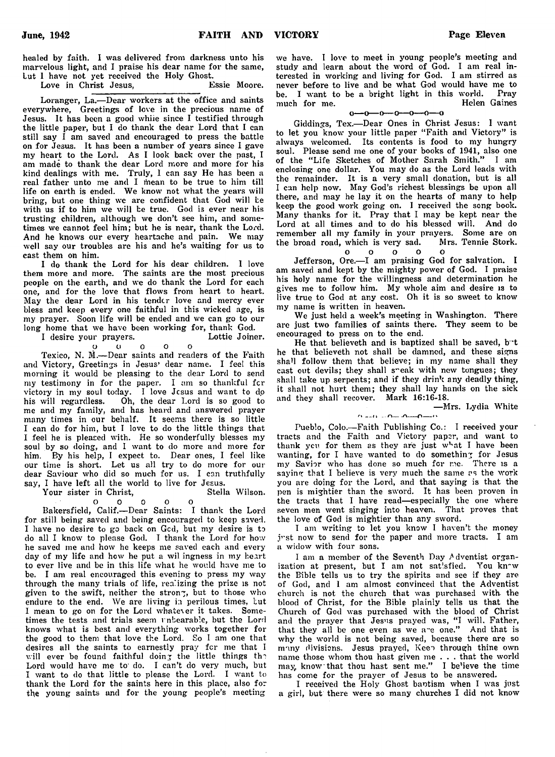healed by faith. I was delivered from darkness unto his marvelous light, and I praise his dear name for the same, Lut I have not yet received the Holy Ghost.

Love in Christ Jesus, Essie Moore.

Loranger, La.— Dear workers at the office and saints everywhere, Greetings of love in the precious name of Jesus. It has been a good whiie since I testified through the little paper, but I do thank the dear Lord that I can still say I am saved and encouraged to press the battle on for Jesus. It has been a number of years since I gave my heart to the Lord. As I look back over the past, I am made to thank the dear Lord more and more for his kind dealings with me. Truly, I can say He has been a real father unto me and I mean to be true to him till life on earth is ended. We know not what the years will bring, but one thing we are confident that God will be with us if to him we will be true. God is ever near his trusting children, although we don't see him, and sometimes we cannot feel him; but he is near, thank the Lord. And he knows our every heartache and pain. We may well say our troubles are his and he's waiting for us to cast them on him.

I do thank the Lord for his dear children. I love them more and more. The saints are the most precious people on the earth, and we do thank the Lord for each one, and for the love that flows from heart to heart. May the dear Lord in his tender love and mercy ever bless and keep every one faithful in this wicked age, is my prayer. Soon life will be ended and we can go to our long home that we have been working for, thank God.<br>I desire your prayers. Lottie Joiner.

I desire your prayers. o o o o o

Texico, N. M.— Dear saints and readers of the Faith and Victory, Greetings in Jesus' dear name. I feel this morning it would be pleasing to the dear Lord to send my testimony in for the paper. I am so thankful fer victory in my soul today. I love Jesus and want to do his will regardless. Oh, the dear Lord is so good to me and my family, and has heard and answered prayer many times in our behalf. It seems there is so little I can do for him, but I love to do the little things that I feel he is pleased with. He so wonderfully blesses my soul by so doing, and I want to do more and more for him. By his help, I expect to. Dear ones, I feel like our time is short. Let us all try to do more for our dear Saviour who did so much for us. I can truthfully say, I have left all the world to live for Jesus.

Your sister in Christ,

o o o o o

Bakersfield, Calif.— Dear Saints: I thank the Lord for still being saved and being encouraged to keep saved. I have no desire to go back on Gcd, but my desire is to do all I know to please God. I thank the Lord for how he saved me and how he keeps me saved each and every day of my life and how he put a wil ingness in my heart to ever live and be in this life what he would have me to be. I am real encouraged this evening to press my way through the many trials of life, realizing the prize is not given to the swift, neither the strong, but to those who endure to the end. We are living in perilous times, Lut I mean to go on for the Lord whatever it takes. Sometimes the tests and trials seem unbearable, but the Lord knows what is best and everything works together for the good to them that love the Lord. So I am one that desires all the saints to earnestly pray fer me that I will ever be found faithful doing the little things the Lord would have me to' do. I can't do very much, but I want to do that little to please the Lord. I want to thank the Lord for the saints here in this place, also for the young saints and for the young people's meeting

we have. I love to meet in young people's meeting and study and learn about the word of God. I am real interested in working and living for God. I am stirred as never before to live and be what God would have me to be. I want to be a bright light in this world. Pray much for me. Helen Gaines much for me.

 $0 - 0 - 0 - 0 - 0 - 0 - 0$ 

Giddings, Tex.— Dear Ones in Christ Jesus: 1 want to let you know your little paper "Faith and Victory" is always welcomed. Its contents is food to my hungry soul. Please send me one of your books of 1941, also one of the "Life Sketches of Mother Sarah Smith." I am enclosing one dollar. You may do as the Lord leads with the remainder. It is a very small donation, but is all I can help now. May God's richest blessings be upon all there, and may he lay it on the hearts of many to help keep the good work going on. I received the song book. Many thanks for it. Pray that I may be kept near the Lord at all times and to do his blessed will. And do remember all my family in your prayers. Some are on the broad road, which is very sad. Mrs. Tennie Stork,

o o o o o

Jefferson, Ore.-- I am praising God for salvation. I am saved and kept by the mighty power of God. I praise his holy name for the willingness and determination he gives me to follow him. My whole aim and desire is to live true to God at any cost. Oh it is so sweet to know my name is written in heaven.

We just held a week's meeting in Washington. There are just two families of saints there. They seem to be encouraged to press on to the end.

He that believeth and is baptized shall be saved, but he that believeth not shall be damned, and these signs shall follow them that believe; in my name shall they cast out devils; they shall s"eak with new tongues; they shall take up serpents; and if they drink any deadly thing, it shall not hurt them; they shall lay hands on the sick and they shall recover. Mark 16:16-18.

— Mrs. Lydia White  $0 - 0 = 0 - 0 - 0$ 

Pueblo, Colo.-Faith Publishing Co.: I received your tracts and the Faith and Victory paper, and want to thank ycu for them as they are just w'-at I have been wanting, for I have wanted to do something for Jesus my Savior who has done so much for me. There is a saying that I believe is very much the same as the work you are doing for the Lord, and that saying is that the pen is mightier than the sword. It has been proven in the tracts that I have read— especially the one where seven men went singing into heaven. That proves that the love of God is mightier than any sword.

I am writing to let you know I haven't the money j''st now to send for the paper and more tracts. I am a widow with four sons.

I am a member of the Seventh Day *A* dventist organization at present, but I am not satisfied. You kn<sup>-</sup>w the Bible tells us to try the spirits and see if they are of God, and I am almost convinced that the Adventist church is not the church that was purchased with the blood of Christ, for the Bible plainly tells us that the Church of God was purchased with the blood of Christ and the prayer that Jesus prayed was, "I will. Father, that they all be one even as we a"e one." And that is why the world is not being saved, because there are so many divisions. Jesus prayed, Keen through thine own name those whom thou hast given me . . . that the world may, know that thou hast sent me." I be'ieve the time has come for the prayer of Jesus to be answered.

I received the Holy Ghost baotism when I was just a girl, but there were so many churches I did not know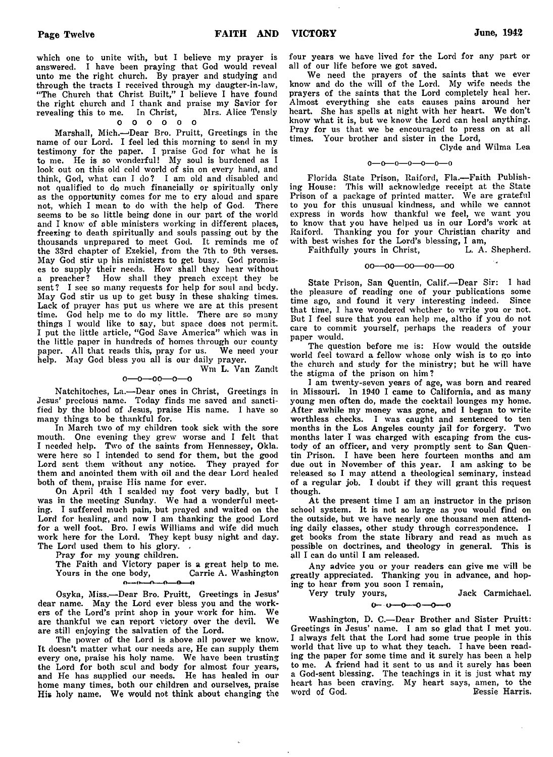which one to unite with, but I believe my prayer is answered. I have been praying that God would reveal unto me the right church. By prayer and studying and through the tracts I received through my daugter-in-law, "The Church that Christ Built," I believe I have found the right church and I thank and praise my Savior for<br>revealing this to me. In Christ, Mrs. Alice Tensly revealing this to me. In Christ,

#### 0 0 0 0 0 0

Marshall, Mich.—'Dear Bro. Pruitt, Greetings in the name of our Lord. I feel led this morning to send in my testimony for the paper. I praise God for what he is to me. He is so wonderful! My soul is burdened as I look out on this old cold world of sin on every hand, and think, God, what can I do? I am old and disabled and not qualified to do much financially or spiritually only as the opportunity comes for me to cry aloud and spare not, which I mean to do with the help of God. There seems to be so little being done in our part of the world and I know of able ministers working in different places, freezing to death spiritually and souls passing out by the thousands unprepared to meet God. It reminds me of the 33rd chapter of Ezekiel, from the 7th to 9th verses. May God stir up his ministers to get busy. God promises to supply their needs. How shall they hear without a preacher? How shall they preach except they be How shall they preach except they be sent? I see so many requests for help for soul and body. May God stir us up to get busy in these shaking times. Lack of prayer has put us where we are at this present time. God help me to do my little. There are so many things I would like to say, but space does not permit. I put the little article, " God Save America" which was in the little paper in hundreds of homes through our county paper. All that reads this, pray for us. We need your help. May God bless you all is our daily prayer. Wm L. Van Zandt

 $0 - 0 - 00 - 0 - 0$ 

Natchitoches, La.— Dear ones in Christ, Greetings in Jesus' precious name. Today finds me saved and sanctified by the blood of Jesus, praise His name. I have so many things to be thankful for.

In March two of my children took sick with the sore mouth. One evening they grew worse and I felt that I needed help. Two of the saints from Hennessey, Okla. were here so I intended to send for them, but the good Lord sent them without any notice. They prayed for them and anointed them with oil and the dear Lord healed both of them, praise His name for ever.

On April 4th I scalded my foot very badly, but I was in the meeting Sunday. We had a wonderful meeting. I suffered much pain, but prayed and waited on the Lord for healing, and now I am thanking the good Lord for a well foot. Bro. I ewis Williams and wife did much work here for the Lord. They kept busy night and day. The Lord used them to his glory.

Pray for my young children.

The Faith and Victory paper is a great help to me.<br>Yours in the one body, Carrie A. Washington Yours in the one body,  $0 - \frac{1}{2}$ 

Osyka, Miss.--Dear Bro. Pruitt, Greetings in Jesus' dear name. May the Lord ever bless you and the workers of the Lord's print shop in your work for him. We are thankful we can report victory over the devil. We are still enjoying the salvation of the Lord.

The power of the Lord is above all power we know. It doesn't matter what our needs are, He can supply them every one, praise his holy name. We have been trusting the Lord for both scul and body for almost four years, and He has supplied our needs. He has healed in our home many times, both our children and ourselves, praise His holy name. We would not think about changing the

four years we have lived for the Lord for any part or all of our life before we got saved.

We need the prayers of the saints that we ever know and do the will of the Lord. My wife needs the prayers of the saints that the Lord completely heal her. Almost everything she eats causes pains around her heart. She has spells at night with her heart. We don't know what it is, but we know the Lord can heal anything. Pray for us that we be encouraged to press on at all times. Your brother and sister in the Lord,

Clyde and Wilma Lea

#### $0 - 0 - 0 - 0 - 0 - 0$

Florida State Prison, Raiford, Fla.-Faith Publishing House: This will acknowledge receipt at the State Prison of a package of printed matter. We are grateful to you for this unusual kindness, and while we cannot express in words how thankful we feel, we want you to know that you have helped us in our Lord's work at Raiford. Thanking you for your Christian charity and with best wishes for the Lord's blessing, I am,<br>Faithfully yours in Christ, L. A. Shepherd.

Faithfully yours in Christ,

#### $00 - 00 - 00 - 00 - 00$

State Prison, San Quentin, Calif.— Dear Sir: I had the pleasure of reading one of your publications some time ago, and found it very interesting indeed. Since that time, I have wondered whether to write you or not. But I feel sure that you can help me, altho if you do not care to commit yourself, perhaps the readers of your paper would.

The question before me is: How would the outside world feel toward a fellow whose only wish is to go into the church and study for the ministry; but he will have the stigma of the prison on him?

I am twenty-seven years of age, was born and reared in Missouri. In 1940 I came to California, and as many young men often do, made the cocktail lounges my home. After awhile my money was gone, and I began to write worthless checks. I was caught and sentenced to ten months in the Los Angeles county jail for forgery. Two months later I was charged with escaping from the custody of an officer, and very promptly sent to San Quentin Prison. I have been here fourteen months and am due out in November of this year. I am asking to be released so I may attend a theological seminary, instead of a regular job. I doubt if they will grant this request though.

At the present time I am an instructor in the prison school system. It is not so large as you would find on the outside, but we have nearly one thousand men attending daily classes, other study through correspondence. I get books from the state library and read as much as possible on doctrines, and theology in general. This is all I can do until I am released.

Any advice you or your readers can give me will be greatly appreciated. Thanking you in advance, and hoping to hear from you soon I remain,

*Very* truly yours, Jack Carmichael.

 $0 - 0 - 0 - 0$ Ð

Washington, D. C.— Dear Brother and Sister Pruitt: Greetings in Jesus' name. I am so glad that I met you. I always felt that the Lord had some true people in this world that live up to what they teach. I have been reading the paper for some time and it surely has been a help to me. A friend had it sent to us and it surely has been a God-sent blessing. The teachings in it is just what my heart has been craving. My heart says, amen, to the word of God.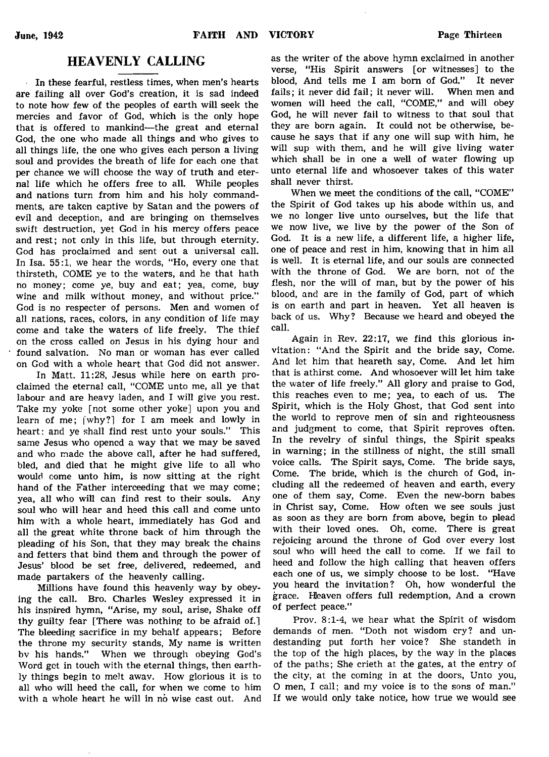# HEAVENLY CALLING

In these fearful, restless times, when men's hearts are failing all over God's creation, it is sad indeed to note how few of the peoples of earth will seek the mercies and favor of God, which is the only hope that is offered to mankind— the great and eternal God, the one who made all things and who gives to all things life, the one who gives each person a living soul and provides the breath of life for each one that per chance we will choose the way of truth and eternal life which he offers free to all. While peoples and nations turn from him and his holy commandments, are taken captive by Satan and the powers of evil and deception, and are bringing on themselves swift destruction, yet God in his mercy offers peace and rest; not only in this life, but through eternity. God has proclaimed and sent out a universal call. In Isa. 55:1, we hear the words, "Ho, every one that thirsteth, COME ye to the waters, and he that hath no money; come ye, buy and eat; yea, come, buy wine and milk without money, and without price." God is no respecter of persons. Men and women of all nations, races, colors, in any condition of life may come and take the waters of life freely. The thief on the cross called on Jesus in his dying hour and found salvation. No man or woman has ever called on God with a whole heart that God did not answer.

In Matt. 11:28, Jesus while here on earth proclaimed the eternal call, "COME unto me, all ye that labour and are heavy laden, and I will give you rest. Take my yoke [not some other yoke] upon you and learn of me; [why?] for I am meek and lowly in heart: and ye shall find rest unto your souls." This same Jesus who opened a way that we may be saved and who made the above call, after he had suffered, bled, and died that he might give life to all who would come unto him, is now sitting at the right hand of the Father interceeding that we may come; yea, all who will can find rest to their souls. Any soul who will hear and heed this call and come unto him with a whole heart, immediately has God and all the great white throne back of him through the pleading of his Son, that they may break the chains and fetters that bind them and through the power of Jesus' blood be set free, delivered, redeemed, and made partakers of the heavenly calling.

Millions have found this heavenly way by obeying the call. Bro. Charles Wesley expressed it in his inspired hymn, "Arise, my soul, arise, Shake off thy guilty fear [There was nothing to be afraid of.] The bleeding sacrifice in my behalf appears; Before the throne my security stands, My name is written bv his hands." When we through obeying God's Word get in touch with the eternal things, then earthly things begin to melt away. How glorious it is to all who will heed the call, for when we come to him with a whole heart he will in no wise cast out. And

as the writer of the above hymn exclaimed in another verse, "His Spirit answers [or witnesses] to the blood, And tells me I am bom of God." It never fails; it never did fail; it never will. When men and women will heed the call, "COME," and will obey God, he will never fail to witness to that soul that they are born again. It could not be otherwise, because he says that if any one will sup with him, he will sup with them, and he will give living water which shall be in one a well of water flowing up unto eternal life and whosoever takes of this water shall never thirst.

When we meet the conditions of the call, "COME" the Spirit of God takes up his abode within us, and we no longer live unto ourselves, but the life that we now live, we live by the power of the Son of God. It is a new life, a different life, a higher life, one of peace and rest in him, knowing that in him all is well. It is eternal life, and our souls are connected with the throne of God. We are born, not of the flesh, nor the will of man, but by the power of his blood, and are in the family of God, part of which is on earth and part in heaven. Yet all heaven is back of us. Why? Because we heard and obeyed the call.

Again in Rev. 22:17, we find this glorious invitation: "And the Spirit and the bride say, Come. And let him that heareth say, Come. And let him that is athirst come. And whosoever will let him take the water of life freely." All glory and praise to God, this reaches even to me; yea, to each of us. The Spirit, which is the Holy Ghost, that God sent into the world to reprove men of sin and righteousness and judgment to come, that Spirit reproves often. In the revelry of sinful things, the Spirit speaks in warning; in the stillness of night, the still small voice calls. The Spirit says, Come. The bride says, Come. The bride, which is the church of God, including all the redeemed of heaven and earth, every one of them say, Come. Even the new-born babes in Christ say, Come. How often we see souls just as soon as they are born from above, begin to plead with their loved ones. Oh, come. There is great rejoicing around the throne of God over every lost soul who will heed the call to come. If we fail to heed and follow the high calling that heaven offers each one of us, we simply choose to be lost. "Have you heard the invitation? Oh, how wonderful the grace. Heaven offers full redemption, And a crown of perfect peace."

Prov. 8:1-4, we hear what the Spirit of wisdom demands of men. "Doth not wisdom cry? and undestanding put forth her voice? She standeth in the top of the high places, by the way in the places of the paths; She crieth at the gates, at the entry of the city, at the coming in at the doors, Unto you, O men, I call; and my voice is to the sons of man." If we would only take notice, how true we would see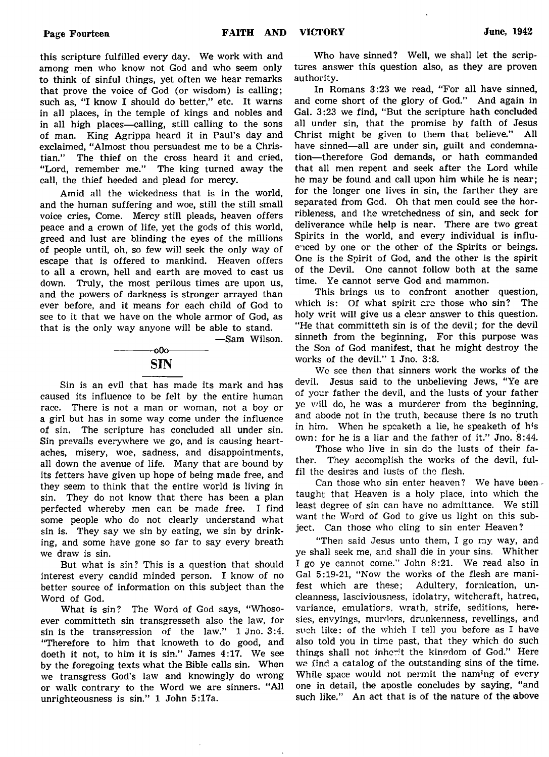this scripture fulfilled every day. We work with and among men who know not God and who seem only to think of sinful things, yet often we hear remarks that prove the voice of God (or wisdom) is calling; such as, "I know I should do better," etc. It warns in all places, in the temple of kings and nobles and in all high places— calling, still calling to the sons of man. King Agrippa heard it in Paul's day and exclaimed, "Almost thou persuadest me to be a Christian." The thief on the cross heard it and cried, "Lord, remember me." The king turned away the call, the thief heeded and plead for mercy.

Amid all the wickedness that is in the world, and the human suffering and woe, still the still small voice cries, Come. Mercy still pleads, heaven offers peace and a crown of life, yet the gods of this world, greed and lust are blinding the eyes of the millions of people until, oh, so few will seek the only way of escape that is offered to mankind. Heaven offers to all a crown, hell and earth are moved to cast us down. Truly, the most perilous times are upon us, and the powers of darkness is stronger arrayed than ever before, and it means for each child of God to see to it that we have on the whole armor of God, as that is the only way anyone will be able to stand.

—Sam Wilson.

-000-**SIN** 

Sin is an evil that has made its mark and has caused its influence to be felt by the entire human race. There is not a man or woman, not a boy or a girl but has in some way come under the influence of sin. The scripture has concluded all under sin. Sin prevails everywhere we go, and is causing heartaches, misery, woe, sadness, and disappointments, all down the avenue of life. Many that are bound by its fetters have given up hope of being made free, and they seem to think that the entire world is living in sin. They do not know that there has been a plan perfected whereby men can be made free. I find some people who do not clearly understand what sin is. They say we sin by eating, we sin by drinking, and some have gone so far to say every breath we draw is sin.

But what is sin? This is a question that should interest every candid minded person. I know of no better source of information on this subject than the Word of God.

What is sin? The Word of God says, "Whosoever committeth sin transgresseth also the law, for sin is the transgression of the law." 1 Jno. 3:4. "Therefore to him that knoweth to do good, and doeth it not, to him it is sin." James 4:17. We see by the foregoing texts what the Bible calls sin. When we transgress God's law and knowingly do wrong or walk contrary to the Word we are sinners. "All unrighteousness is sin." 1 John 5:17a.

Who have sinned? Well, we shall let the scriptures answer this question also, as they are proven authority.

In Romans 3:23 we read, "For all have sinned, and come short of the glory of God." And again in Gal. 3:23 we find, "But the scripture hath concluded all under sin, that the promise by faith of Jesus Christ might be given to them that believe." All have sinned—all are under sin, guilt and condemnation—therefore God demands, or hath commanded that all men repent and seek after the Lord while he may be found and call upon him while he is near; for the longer one lives in sin, the farther they are separated from God. Oh that men could see the horribleness, and the wretchedness of sin, and seek for deliverance while help is near. There are two great Spirits in the world, and every individual is influenced by one or the other of the Spirits or beings. One is the Spirit of God, and the other is the spirit of the Devil. One cannot follow both at the same time. Ye cannot serve God and mammon.

This brings us to confront another question, which is: Of what spirit are those who sin? The holy writ will give us a clear answer to this question. "He that committeth sin is of the devil; for the devil sinneth from the beginning, For this purpose was the Son of God manifest, that he might destroy the works of the devil." 1 Jno. 3:8.

Wc see then that sinners work the works of the devil. Jesus said to the unbelieving Jews, "Ye are of your father the devil, and the lusts of your father ye will do, he was a murderer from the beginning, and abode not in the truth, because there is no truth in him. When he speaketh a lie, he speaketh of his own: for he is a liar and the father of it." Jno. 8:44.

Those who live in sin do the lusts of their father. They accomplish the works of the devil, fulfil the desires and lusts of the flesh.

Can those who sin enter heaven? We have beentaught that Heaven is a holy place, into which the least degree of sin can have no admittance. We still want the Word of God to give us light on this subject. Can those who cling to sin enter Heaven?

"Then said Jesus unto them, I go my way, and ye shall seek me, and shall die in your sins. Whither I go ye cannot come." John 8:21. We read also in Gal 5:19-21, "Now the works of the flesh are manifest which are these; Adultery, fornication, uncleanness, lasciviousness, idolatry, witchcraft, hatred, variance, emulatiors, wrath, strife, seditions, heresies, envyings, murders, drunkenness, revellings, and such like: of the which I tell you before as I have also told you in time past, that they which do such things shall not inherit the kingdom of God." Here we find a catalog of the outstanding sins of the time. While space would not permit the naming of every one in detail, the apostle concludes by saying, "and such like," An act that is of the nature of the above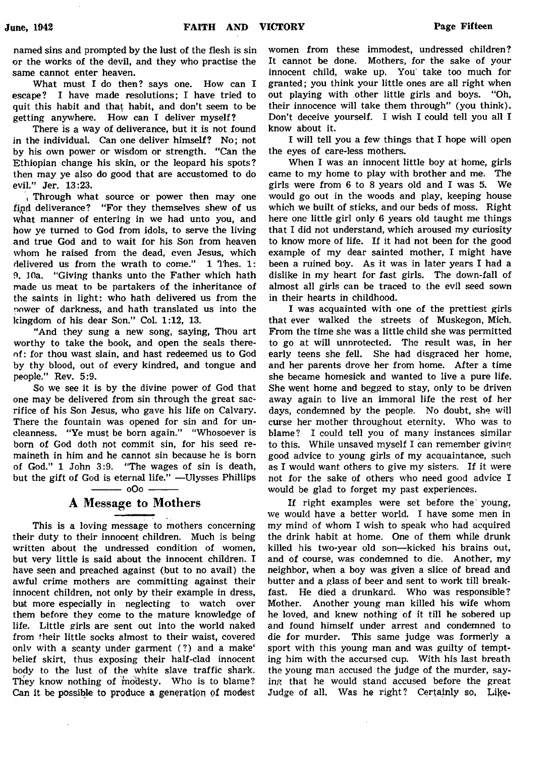named sins and prompted by the lust of the flesh is sin or the works of the devil, and they who practise the same cannot enter heaven.

What must I do then? says one. How can I escape? I have made resolutions; I have tried to quit this habit and that habit, and don't seem to be getting anywhere. How can I deliver myself?

There is a way of deliverance, but it is not found in the individual. Can one deliver himself? No; not by his own power or wisdom or strength. "Can the Ethiopian change his skin, or the leopard his spots? then may ye also do good that are accustomed to do evil." Jer. 13:23.

, Through what source or power then may one fipd deliverance? "For they themselves shew of us what manner of entering in we had unto you, and how ye turned to God from idols, to serve the living and true God and to wait for his Son from heaven whom he raised from the dead, even Jesus, which delivered us from the wrath to come." 1 Thes. 1: 9. 10a. "Giving thanks unto the Father which hath made us meat to be partakers of the inheritance of the saints in light: who hath delivered us from the power of darkness, and hath translated us into the kingdom of his dear Son." Col. 1:12, 13.

"And they sung a new song, saying, Thou art worthy to take the book, and open the seals thereof: for thou wast slain, and hast redeemed us to God by thy blood, out of every kindred, and tongue and people." Rev. 5:9.

So we see it is by the divine power of God that one may be delivered from sin through the great sacrifice of his Son Jesus, who gave his life on Calvary. There the fountain was opened for sin and for uncleanness. "Ye must be born again." "Whosoever is born of God doth not commit sin, for his seed remaineth in him and he cannot sin because he is born of God." 1 John 3:9. "The wages of sin is death, but the gift of God is eternal life." -Ulysses Phillips

# $-$  oOo  $-$

# A Message to Mothers

This is a loving message to mothers concerning their duty to their innocent children. Much is being written about the undressed condition of women, but very little is said about the innocent children. I have seen and preached against (but to no avail) the awful crime mothers are committing against their innocent children, not only by their example in dress, but more especially in neglecting to watch over them before they come to the mature knowledge of life. Little girls are sent out into the world naked from their little socks almost to their waist, covered only with a scanty under garment (?) and a make' belief skirt, thus exposing their half-clad innocent body to the lust of the white slave traffic shark. They know nothing of modesty. Who is to blame? Can it be possible to produce a generation of modest women from these immodest, undressed children? It cannot be done. Mothers, for the sake of your innocent child, wake up. You take too much for granted; you think your little ones are all right when out playing with other little girls and boys. "Oh, their innocence will take them through" (you think). Don't deceive yourself. I wish I could tell you all I know about it.

I will tell you a few things that I hope will open the eyes of care-less mothers.

When I was an innocent little boy at home, girls came to my home to play with brother and me; The girls were from 6 to 8 years old and I was 5. We would go out in the woods and play, keeping house which we built of sticks, and our beds of moss. Right here one little girl only 6 years old taught me things that I did not understand, which aroused my curiosity to know more of life. If it had not been for the good example of my dear sainted mother, I might have been a ruined boy. As it was in later years I had a dislike in my heart for fast girls. The down-fall of almost all girls can be traced to the evil seed sown in their hearts in childhood.

I was acquainted with one of the prettiest girls that ever walked the streets of Muskegon, Mich. From the time she was a little child she was permitted to go at will unnrotected. The result was, in her early teens she fell. She had disgraced her home, and her parents drove her from home. After a time she became homesick and wanted to live a pure life. She went home and begged to stay, only to be driven away again to live an immoral life the rest of her days, condemned by the people. No doubt, she will curse her mother throughout eternity. Who was to blame? I could tell you of many instances similar to this. While unsaved myself I can remember giving good advice to young girls of my acquaintance, such as I would want others to give my sisters. If it were not for the sake of others who need good advice I would be glad to forget my past experiences.

If right examples were set before the' young, we would have a better world. I have some men in my mind of whom I wish to speak who had acquired the drink habit at home. One of them while drunk killed his two-year old son—kicked his brains out, and of course, was condemned to die. Another, my neighbor, when a boy was given a slice of bread and butter and a glass of beer and sent to work till breakfast. He died a drunkard. Who was responsible? Mother. Another young man killed his wife whom he loved, and knew nothing of it till he sobered up and found himself under arrest and condemned to die for murder. This same judge was formerly a sport with this young man and was guilty of tempting him with the accursed cup. With his last breath the young man accused the judge of the murder, saying that he would stand accused before the great Judge of all, Was he right? Certainly so, Like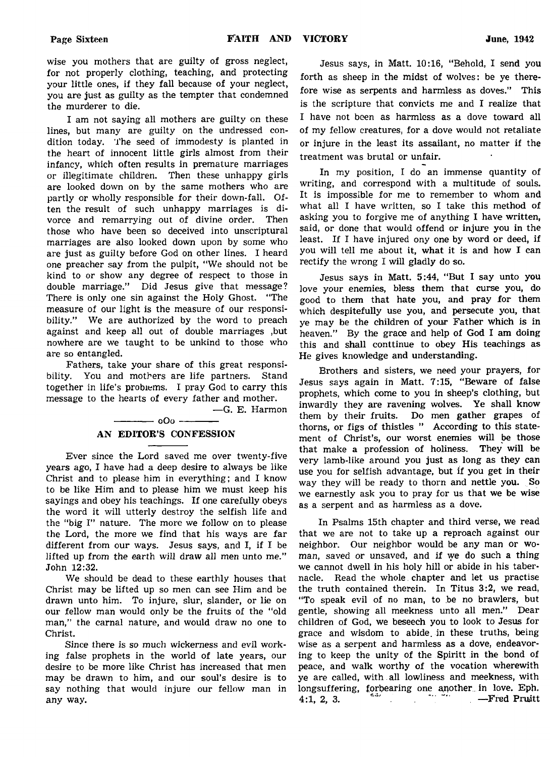wise you mothers that are guilty of gross neglect, for not properly clothing, teaching, and protecting your little ones, if they fall because of your neglect, you are just as guilty as the tempter that condemned the murderer to die.

I am not saying all mothers are guilty on these lines, but many are guilty on the undressed condition today. The seed of immodesty is planted in the heart of innocent little girls almost from their infancy, which often results in premature marriages or illegitimate children. Then these unhappy girls are looked down on by the same mothers who are partly or wholly responsible for their down-fall. Often the result of such unhappy marriages is divorce and remarrying out of divine order. Then those who have been so deceived into unscriptural marriages are also looked down upon by some who are just as guilty before God on other lines. I heard one preacher say from the pulpit, "We should not be kind to or show any degree of respect to those in double marriage." Did Jesus give that message? There is only one sin against the Holy Ghost. "The measure of our light is the measure of our responsibility." We are authorized by the word to preach against and keep all out of double marriages ,but nowhere are we taught to be unkind to those who are so entangled.

Fathers, take your share of this great responsibility. You and mothers are life partners. Stand together in life's problems. I pray God to carry this message to the hearts of every father and mother.

— G. E. Harmon

# -------------0O0 -------------- AN EDITOR'S CONFESSION

Ever since the Lord saved me over twenty-five years ago, I have had a deep desire to always be like Christ and to please him in everything; and I know to be like Him and to please him we must keep his sayings and obey his teachings. If one carefully obeys the word it will utterly destroy the selfish life and the "big I" nature. The more we follow on to please the Lord, the more we find that his ways are far different from our ways. Jesus says, and I, if I be lifted up from the earth will draw all men unto me." John 12:32.

We should be dead to these earthly houses that Christ may be lifted up so men can see Him and be drawn unto him. To injure, slur, slander, or lie on our fellow man would only be the fruits of the "old man," the carnal nature, and would draw no one to Christ.

Since there is so much wickerness and evil working false prophets in the world of late years, our desire to be more like Christ has increased that men may be drawn to him, and our soul's desire is to say nothing that would injure our fellow man in any way.

Jesus says, in Matt. 10:16, "Behold, I send you forth as sheep in the midst of wolves: be ye therefore wise as serpents and harmless as doves." This is the scripture that convicts me and I realize that I have not been as harmless as a dove toward all of my fellow creatures, for a dove would not retaliate or injure in the least its assailant, no matter if the treatment was brutal or unfair.

In my position, I do an immense quantity of writing, and correspond with a multitude of souls. It is impossible for me to remember to whom and what all I have written, so I take this method of asking you to forgive me of anything I have written, said, or done that would offend or injure you in the least. If I have injured ony one by word or deed, if you will tell me about it, what it is and how I can rectify the wrong I will gladly do so.

Jesus says in Matt. 5:44, "But I say unto you love your enemies, bless them that curse you, do good to them that hate you, and pray for them which despitefully use you, and persecute you, that ye may be the children of your Father which is in heaven." By the grace and help of God I am doing this and shall conttinue to obey His teachings as He gives knowledge and understanding.

Brothers and sisters, we need your prayers, for Jesus says again in Matt. 7:15, "Beware of false prophets, which come to you in sheep's clothing, but inwardly they are ravening wolves. Ye shall know them by their fruits. Do men gather grapes of thorns, or figs of thistles " According to this statement of Christ's, our worst enemies will be those that make a profession of holiness. They will be very lamb-like around you just as long as they can use you for selfish advantage, but if you get in their way they will be ready to thorn and nettle you. So we earnestly ask you to pray for us that we be wise as a serpent and as harmless as a dove.

In Psalms 15th chapter and third verse, we read that we are not to take up a reproach against our neighbor. Our neighbor would be any man or woman, saved or unsaved, and if we do such a thing we cannot dwell in his holy hill or abide in his tabernacle. Read the whole. chapter and let us practise the truth contained therein. In Titus 3:2, we read, "To speak evil of no man, to be no brawlers, but gentle, showing all meekness unto all men." Dear children of God, we beseech you to look to Jesus for grace and wisdom to abide, in these truths, being wise as a serpent and harmless as a dove, endeavoring to keep the unity of the Spiritt in the bond of peace, and walk worthy of the vocation wherewith ye are called, with all lowliness and meekness, with longsuffering, forbearing one another, in love. Eph.  $4:1, 2, 3.$  — Fred Pruitt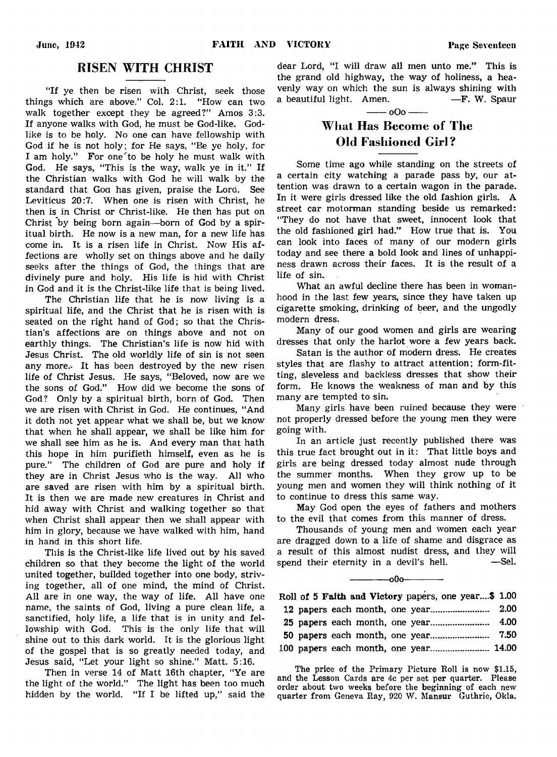# RISEN WITH CHRIST

"If ye then be risen with Christ, seek those things which are above." Col. 2:1. "How can two walk together except they be agreed?" Amos 3:3. If anyone walks with God, he must be God-like. Godlike is to be holy. No one can have fellowship with God if he is not holy; for He says, "Be ye holy, for I am holy." For one'to be holy he must walk with God. He says, "This is the way, walk ye in it." If the Christian walks with God he will walk by the standard that Goa has given, praise the Lora. See Leviticus 20:7. When one is risen with Christ, he then is in Christ or Christ-like. He then has put on Christ by being born again— born of God by a spiritual birth. He now is a new man, for a new life has come in. It is a risen life in Christ. Now His affections are wholly set on things above and he daily seeks after the things of God, the things that are divinely pure and holy. His life is hid with Christ in God and it is the Christ-like life that is being lived.

The Christian life that he is now living is a spiritual life, and the Christ that he is risen with is seated on the right hand of God; so that the Christian's affections are on things above and not on earthly things. The Christian's life is now hid with Jesus Christ. The old worldly life of sin is not seen any more.- It has been destroyed by the new risen life of Christ Jesus. He says, "Beloved, now are we the sons of God." How did we become the sons of God? Only by a spiritual birth, born of God. Then we are risen with Christ in God. He continues, "And it doth not yet appear what we shall be, but we know that when he shall appear, we shall be like him for we shall see him as he is. And every man that hath this hope in him purifieth himself, even as he is pure." The children of God are pure and holy if they are in Christ Jesus who is the way. All who are saved are risen with him by a spiritual birth. It is then we are made new creatures in Christ and hid away with Christ and walking together so that when Christ shall appear then we shall appear with him in glory, because we have walked with him, hand in hand in this short life.

This is the Christ-like life lived out by his saved children so that they become the light of the world united together, builded together into one body, striving together, all of one mind, the mind of Christ. All are in one way, the way of life. All have one name, the saints of God, living a pure clean life, a sanctified, holy life, a life that is in unity and fellowship with God. This is the only life that will shine out to this dark world. It is the glorious light of the gospel that is so greatly needed today, and Jesus said, "Let your light so shine." Matt. 5:16.

Then in verse 14 of Matt 16th chapter, "Ye are the light of the world." The light has been too much hidden by the world. "If I be lifted up," said the

dear Lord, "I will draw all men unto me." This is the grand old highway, the way of holiness, a heavenly way on which the sun is always shining with a beautiful light. Amen. — F. W. Spaur

### $-000$  —

# What Has Become of The Old Fashioned Girl?

Some time ago while standing on the streets of a certain city watching a parade pass by, our attention was drawn to a certain wagon in the parade. In it were girls dressed like the old fashion girls. A street car motorman standing beside us remarked: "They do not have that sweet, innocent look that the old fashioned girl had." How true that is. You can look into faces of many of our modern girls today and see there a bold look and lines of unhappiness drawn across their faces. It is the result of a life of sin.

What an awful decline there has been in womanhood in the last few years, since they have taken up cigarette smoking, drinking of beer, and the ungodly modern dress.

Many of our good women and girls are wearing dresses that only the harlot wore a few years back.

Satan is the author of modern dress. He creates styles that are flashy to attract attention; form-fitting, sleveless and backless dresses that show their form. He knows the weakness of man and by this many are tempted to sin.

Many girls have been ruined because they were not properly dressed before the young men they were going with.

In an article just recently published there was this true fact brought out in it: That little boys and girls are being dressed today almost nude through the summer months. When they grow up to be young men and women they will think nothing of it to continue to dress this same way.

May God open the eyes of fathers and mothers to the evil that comes from this manner of dress.

Thousands of young men and women each year are dragged down to a life of shame and disgrace as a result of this almost nudist dress, and they will spend their eternity in a devil's hell.  $\qquad$  -Sel.

 $-000-$ 

# Roll of 5 Faith and Victory papers, one year....\$ 1.00 12 papers each month, one year....................... 2.00 25 papers each month, one year....................... 4.00 50 papers each month, one year....................... 7.50 100 papers each month, one year....................... 14.00

The price of the Primary Picture Roll is now \$1.15, and the Lesson Cards are 4c per set per quarter. Please order about two weeks before the beginning of each new quarter from Geneva Ray, 920 W. Mansur Guthrie, Okla.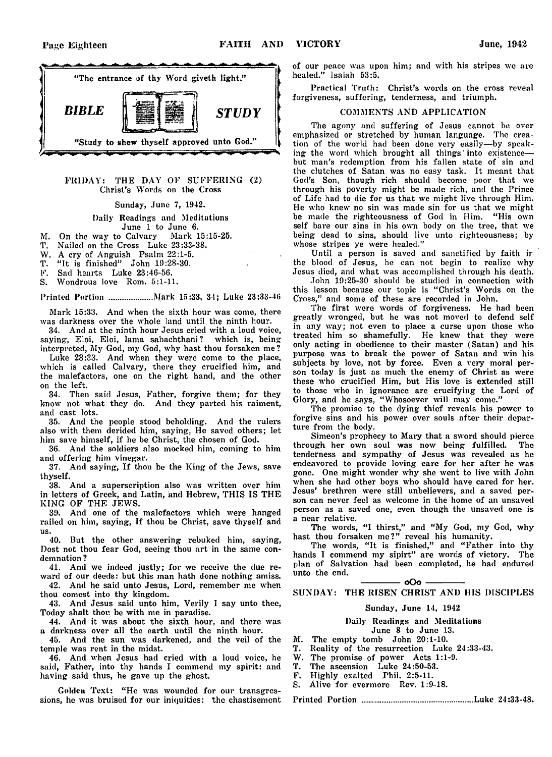

#### FRIDAY: THE DAY OF SUFFERING (2) Christ's Words on the Cross

#### Sunday, June 7, 1942.

#### Daily Readings and Meditations June 1 to June 6.

- M. On the way to Calvary Mark 15:15-25.
- T. Nailed on the Cross Luke 23:33-38.
- W. A cry of Anguish Psalm 22:1-5.
- T. "It is finished" John 19:28-30.
- F. Sad hearts Luke 23:46-56.
- S. Wondrous love Rom. 5:1-11.

### Printed Portion ................... Mark 15:33, 34; Luke 23:33-48

Mark 15:33. And when the sixth hour was come, there was darkness over the whole land until the ninth hour.

34. And at the ninth hour Jesus cried with a loud voice, saying, Eloi, Eloi, lama sabachthani? which is, being interpreted, My God, my God, why hast thou forsaken me?

Luke 23:33. And when they were come to the place, which is called Calvary, there they crucified him, and the malefactors, one on the right hand, and the other on the left.

34. Then said Jesus, Father, forgive them; for they know not what they do. And they parted his raiment, and cast lots.

35. And the people stood beholding. And the rulers also with them derided him, saying, He saved others; let him save himself, if he be Christ, the chosen of God.

36. And the soldiers also mocked him, coming to him and offering him vinegar.

37. And saying, If thou be the King of the Jews, save thyself.

38. And a superscription also was written over him in letters of Greek, and Latin, and Hebrew, THIS IS THE KING OF THE JEWS.

39. And one of the malefactors which were hanged railed on him, saying, If thou be Christ, save thyself and us.

40. But the other answering rebuked him, saying, Dost not thou fear God, seeing thou art in the same condemnation ?

41. And we indeed justly; for we receive the due reward of our deeds: but this man hath done nothing amiss.

42. And he said unto Jesus, Lord, remember me when thou comest into thy kingdom.

43. And Jesus said unto him, Verily I say unto thee, Today shalt thou be with me in paradise.

44. And it was about the sixth hour, and there was a darkness over all the earth until the ninth hour.

45. And the sun was darkened, and the veil of the temple was rent in the midst.

46. And when Jesus had cried with a loud voice, he said, Father, into thy hands I commend my spirit: and having said thus, he gave up the ghost.

Golden Text: "He was wounded for our transgressions, he was bruised for our iniquities: the chastisement of our peace was upon him; and with his stripes we are healed." Isaiah 53:5.

Practical Truth: Christ's words on the cross reveal forgiveness, suffering, tenderness, and triumph.

### COMMENTS AND APPLICATION

The agony and suffering of Jesus cannot be over emphasized or stretched by human language. The creation of the world had been done very easily—by speaking the word which brought all things' into existence but man's redemption from his fallen state of sin and the clutches of Satan was no easy task. It meant that God's Son, though rich should become poor that we through his poverty might be made rich, and the Prince of Life had to die for us that we might live through Him. He who knew no sin was made sin for us that we might be made the righteousness of God in Him. "His own self bare our sins in his own body on the tree, that we being dead to sins, should live unto righteousness; by whose stripes ye were healed."

Until a person is saved and sanctified by faith ir the blood of Jesus, he can not begin to realize why Jesus died, and what was accomplished through his death.

John 19:25-30 should be studied in connection with this lesson because our topic is "Christ's Words on the Cross," and some of these are recorded in John.

The first were words of forgiveness. He had been greatly wronged, but he was not moved to defend self in any way; not even to place a curse upon those who treated him so shamefully. He knew that they were only acting in obedience to their master (Satan) and his purpose was to break the power of Satan and win his subjects by love, not by force. Even a very moral person today is just as much the enemy of Christ as were these who crucified Him, but His love is extended still to those who in ignorance are crucifying the Lord of Glory, and he says, "Whosoever will may come."

The promise to the dying thief reveals his power to forgive sins and his power over souls after their departure from the body.

Simeon's prophecy to Mary that a sword should pierce through her own soul was now being fulfilled. The tenderness and sympathy of Jesus was revealed as he endeavored to provide loving care for her after he was gone. One might wonder why she went to live with John when she had other boys who should have cared for her. Jesus' brethren were still unbelievers, and a saved person can never feel as welcome in the home of an unsaved person as a saved one, even though the unsaved one is a near relative.

The words, "I thirst," and "My God, my God, why hast thou forsaken me?" reveal his humanity.

The words, "It is finished," and "Father into thy hands I commend my sipirt" are words of victory. The plan of Salvation had been completed, he had endured unto the end.

### $-000 -$ SUNDAY: THE RISEN CHRIST AND HIS DISCIPLES

#### Sunday, June 14, 1942

#### Daily Readings and Meditations June 8 to June 13.

M. The empty tomb John 20:1-10.

- T. Reality of the resurrection Luke 24:33-43.
- W. The promise of power Acts 1:1-9.<br>T. The ascension Luke 24:50-53.
- T. The ascension Luke 24:50-53.
- F. Highly exalted Phil. 2:5-11.
- S. Alive for evermore Rev. 1:9-18.

Printed Portion Luke 24:33-48.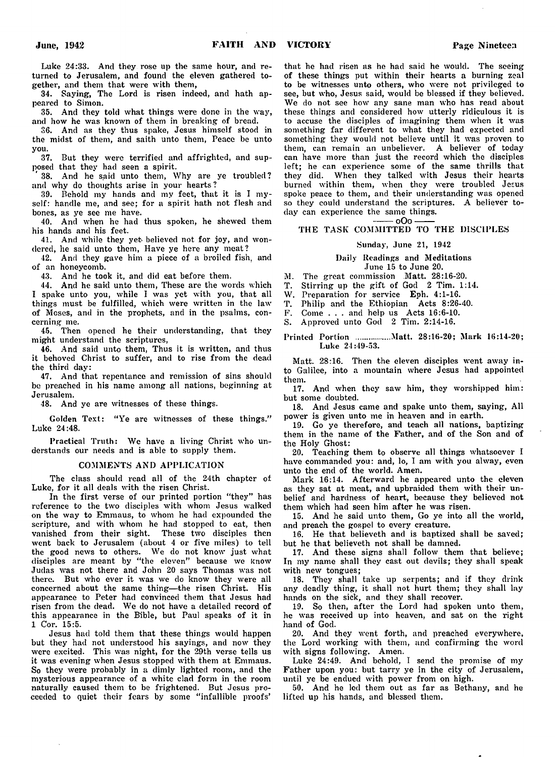Luke 24:33. And they rose up the same hour, and returned to Jerusalem, and found the eleven gathered together, and them that were with them,

34. Saying, The Lord is risen indeed, and hath appeared to Simon.

35. And they told what things were done in the way, and how he was known of them in breaking of bread.

36. And as they thus spake, Jesus himself stood in the midst of them, and saith unto them, Peace be unto you.

37. But they were terrified and affrighted, and supposed that they had seen a spirit.

38. And he said unto them, Why are ye troubled? and why do thoughts arise in your hearts?

39. Behold my hands and my feet, that it is I myself: handle me, and see; for a spirit hath not flesh and bones, as ye see me have.

40. And when he had thus spoken, he shewed them his hands and his feet.

41. And while they yeb believed not for joy, and wondered, he said unto them, Have ye here any meat?

42. And they gave him a piece of a broiled fish, and of an honeycomb.

43. And he took it, and did eat before them.

44. And he said unto them, These are the words which I spake unto you, while I was yet with you, that all things must be fulfilled, which were written in the law of Moses, and in the prophets, and in the psalms, concerning me.

45. Then opened he their understanding, that they might understand the scriptures,

46. And said unto them, Thus it is written, and thus it behoved Christ to suffer, and to rise from the dead the third day:

47. And that repentance and remission of sins should be preached in his name among all nations, beginning at Jerusalem.

48. And ye are witnesses of these things.

Golden Text: "Ye are witnesses of these things." Luke 24:48.

Practical Truth: We have a living Christ who understands our needs and is able to supply them.

#### COMMENTS AND APPLICATION

The class should read all of the 24th chapter of Luke, for it all deals with the risen Christ.

In the first verse of our printed portion "they" has reference to the two disciples with whom Jesus walked on the way to Emmaus, to whom he had expounded the scripture, and with whom he had stopped to eat, then vanished from their sight. These two disciples then went back to Jerusalem (about 4 or five miles) to tell the good news to others. We do not know just what disciples are meant by "the eleven" because we know Judas was not there and John 20 says Thomas was not there. But who ever it was we do know they were all concerned about the same thing— the risen Christ. His appearance to Peter had convinced them that Jesus had risen from the dead. We do not have a detailed record of this appearance in the B'ible, but Paul speaks of it in 1 Cor. 15:5.

Jesus had told them that these things would happen but they had not understood his sayings, and now they were excited. This was night, for the 29th verse tells us it was evening when Jesus stopped with them at Emmaus. So they were probably in a dimly lighted room, and the mysterious appearance of a white clad form in the room naturally caused them to be frightened. But Jesus proceeded to quiet their fears by some "infallible proofs"

that he had risen as he had said he would. The seeing of these things put within their hearts a burning zeal to be witnesses unto others, who were not privileged to see, but who, Jesus said, would be blessed if they believed. We do not see how any sane man who has read about these things and considered how utterly ridiculous it is to accuse the disciples of imagining them when it was something far different to what they had expected and something they would not believe until it was proven to them, can remain an unbeliever. A believer of today can have more than just the record which the disciples left; he can experience some of the same thrills that they did. When they talked with Jesus their hearts burned within them, when they were troubled Jesus spoke peace to them, and their understanding was opened so they could understand the scriptures. A believer today can experience the same things.<br> $\frac{1}{1000}$ 

#### $-$  oOo $-$ THE TASK COMMITTED TO THE DISCIPLES

#### Sunday, June 21, 1942

#### Daily Readings and Meditations June 15 to June 20.

M. The great commission Matt. 28:16-20.

T. Stirring up the gift of God 2 Tim. 1:14.

W. Preparation for service Eph. 4:1-16.

T. Philip and the Ethiopian Acts 8:26-40.

F. Come . . . and help us Acts 16:6-10.

S. Approved unto God 2 Tim. 2:14-16.

Printed Portion ................Matt. 28:16-20; Mark 16:14-20; Luke 24:49-53.

Matt. 28:16. Then the eleven disciples went away into Galilee, into a mountain where Jesus had appointed them.

17. And when they saw him, they worshipped him: but some doubted.

18. And Jesus came and spake unto them, saying, All power is given unto me in heaven and in earth.

19. Go ye therefore, and teach all nations, baptizing them in the name of the Father, and of the Son and of the Holy Ghost:

20. Teaching them to observe all things whatsoever I have commanded you: and, lo, I am with you alway, even unto the end of the world. Amen.

Mark 16:14. Afterward he appeared unto the eleven as they sat at meat, and upbraided them with their unbelief and hardness of heart, because they believed not them which had seen him after he was risen.

15. And he said unto them, Go ye into all the world, and preach the gospel to every creature.

16. He that believeth and is baptized shall be saved; but he that believeth not shall be damned.

17. And these signs shall follow them that believe; In my name shall they cast out devils; they shall speak with new tongues;

18. They shall take up serpents; and if they drink any deadly thing, it shall not hurt them; they shall lay hands on the sick, and they shall recover.

19. So then, after the Lord had spoken unto them, he was received up into heaven, and sat on the right hand of God.

20. And they went forth, and preached everywhere, the Lord working with them, and confirming the word with signs following. Amen.

Luke 24:49. And behold, I send the promise of my Father upon you: but tarry ye in the city of Jerusalem, until ye be endued with power from on high.

50. And he led them out as far as Bethany, and he lifted up his hands, and blessed them.